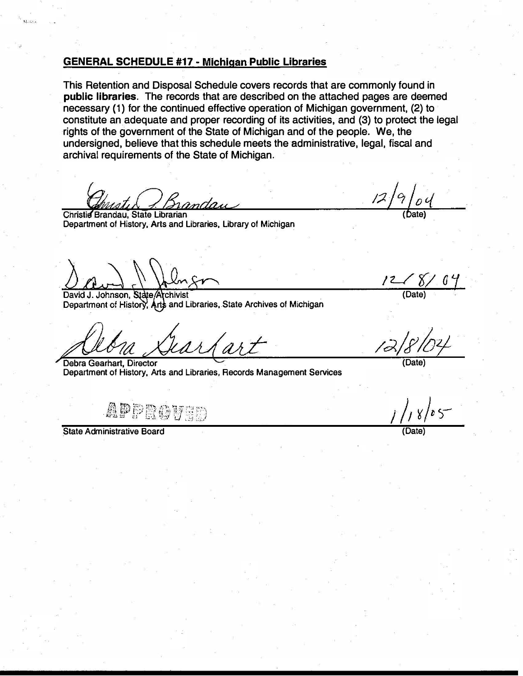#### GENERAL SCHEDULE #17- Michigan Public Libraries

This Retention and Disposal Schedule covers records that are commonly found in public libraries. The records that are described on the attached pages are deemed necessary (1) for the continued effective operation of Michigan government, (2) to constitute an adequate and proper recording of its activities, and (3) to protect the legal rights of the government of the State of Michigan and of the people. We, the undersigned, believe that this schedule meets the administrative, legal, fiscal and archival requirements of the State of Michigan.

andau

Christie Brandau, State Librarian Department of History, Arts and Libraries, Library of Michigan

**ELIENE** 

David J. Johnson, State/Archivist Department of History, Arts and Libraries, State Archives of Michigan

Debra Gearhart, Director **Communication Communication** (Date) Department of History, Arts and Libraries, Records Management Services

APPROVED

State Administrative Board

 $12/9/04$ 

 $\frac{8}{100}$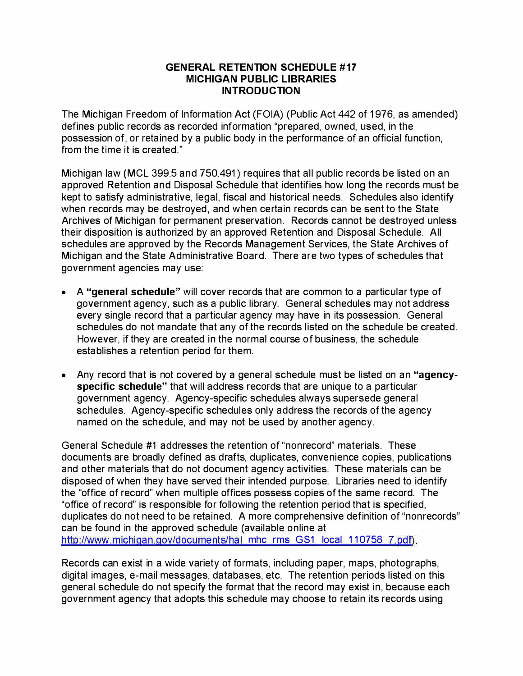#### GENERAL RETENTION SCHEDULE #17 MICHIGAN PUBLIC LIBRARIES **INTRODUCTION**

The Michigan Freedom of Information Act (FOIA) (Public Act 442 of 1976, as amended) defines public records as recorded information "prepared, owned, used, in the possession of, or retained by a public body in the performance of an official function, from the time it is created."

Michigan law (MCL 399.5 and 750.491 ) requires that all public records be listed on an approved Retention and Disposal Schedule that identifies how long the records must be kept to satisfy administrative, legal, fiscal and historical needs. Schedules also identify when records may be destroyed, and when certain records can be sent to the State Archives of Michigan for permanent preservation. Records cannot be destroyed unless their disposition is authorized by an approved Retention and Disposal Schedule. All schedules are approved by the Records Management Services, the State Archives of Michigan and the State Administrative Board. There are two types of schedules that government agencies may use:

- A "general schedule" will cover records that are common to a particular type of government agency, such as a public library. General schedules may not address every single record that a particular agency may have in its possession. General schedules do not mandate that any of the records listed on the schedule be created. However, if they are created in the normal course of business, the schedule establishes a retention period for them.
- Any record that is not covered by a general schedule must be listed on an "agencyspecific schedule" that will address records that are unique to a particular government agency. Agency-specific schedules always supersede general schedules. Agency-specific schedules only address the records of the agency named on the schedule, and may not be used by another agency.

General Schedule #1 addresses the retention of "nonrecord" materials. These documents are broadly defined as drafts, duplicates, convenience copies, publications and other materials that do not document agency activities. These materials can be disposed of when they have served their intended purpose. Libraries need to identify the "office of record" when multiple offices possess copies of the same record. The "office of record" is responsible for following the retention period that is specified, duplicates do not need to be retained. A more comprehensive definition of "nonrecords" can be found in the approved schedule (available online at http://www.michigan.gov/documents/hal mhc rms GS1 local 110758 7.pdf).

Records can exist in a wide variety of formats, including paper, maps, photographs, digital images, e-mail messages, databases, etc. The retention periods listed on this general schedule do not specify the format that the record may exist in, because each government agency that adopts this schedule may choose to retain its records using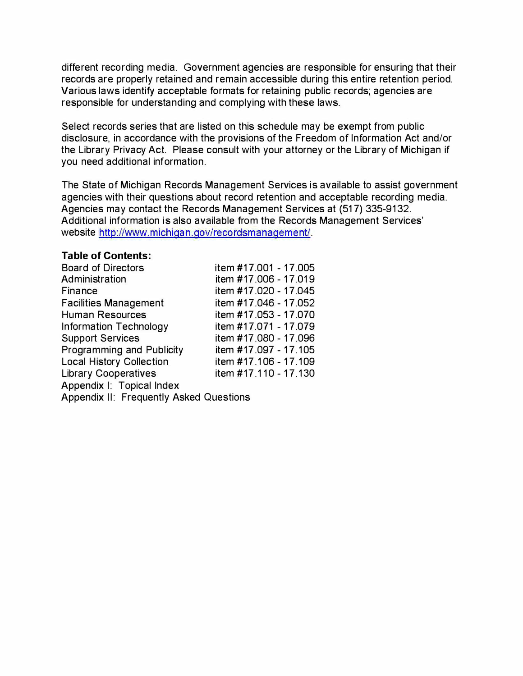different recording media. Government agencies are responsible for ensuring that their records are properly retained and remain accessible during this entire retention period. Various laws identify acceptable formats for retaining public records; agencies are responsible for understanding and complying with these laws.

Select records series that are listed on this schedule may be exempt from public disclosure, in accordance with the provisions of the Freedom of Information Act and/or the Library Privacy Act. Please consult with your attorney or the Library of Michigan if you need additional information.

The State of Michigan Records Management Services is available to assist government agencies with their questions about record retention and acceptable recording media. Agencies may contact the Records Management Services at (517) 335-9132. Additional information is also available from the Records Management Services' website http://www.michigan.gov/recordsmanagement/.

#### Table of Contents:

| <b>Board of Directors</b>               | item #17.001 - 17.005 |
|-----------------------------------------|-----------------------|
| Administration                          | item #17.006 - 17.019 |
| Finance                                 | item #17.020 - 17.045 |
| <b>Facilities Management</b>            | item #17.046 - 17.052 |
| <b>Human Resources</b>                  | item #17.053 - 17.070 |
| Information Technology                  | item #17.071 - 17.079 |
| <b>Support Services</b>                 | item #17.080 - 17.096 |
| Programming and Publicity               | item #17.097 - 17.105 |
| <b>Local History Collection</b>         | item #17.106 - 17.109 |
| <b>Library Cooperatives</b>             | item #17.110 - 17.130 |
| Appendix I: Topical Index               |                       |
| Appendix II: Frequently Asked Questions |                       |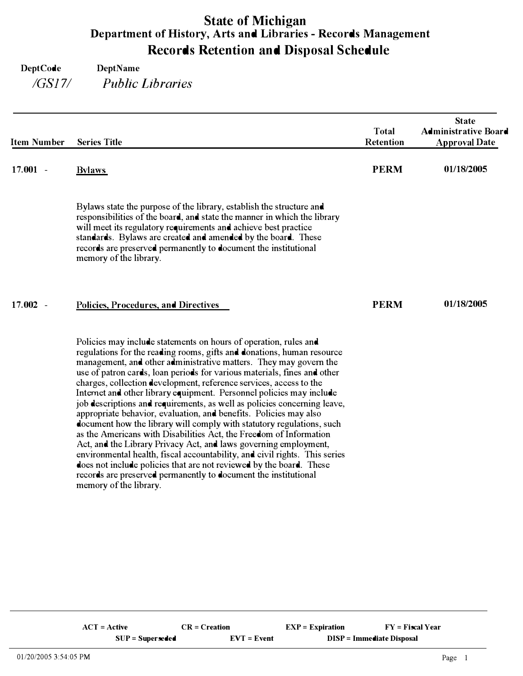# State of Michigan Department of History, Arts and Libraries- Records Management Records Retention and Disposal Schedule

| <b>Item Number</b>                 | <b>Series Title</b>                                                                                                                                                                                                                                                                                                                                                                                                                                                                                                                                                                                                                                                                                                                                                                                                                                                                                                                                                                                                                                             | <b>Total</b><br><b>Retention</b> | <b>State</b><br><b>Administrative Board</b><br><b>Approval Date</b> |
|------------------------------------|-----------------------------------------------------------------------------------------------------------------------------------------------------------------------------------------------------------------------------------------------------------------------------------------------------------------------------------------------------------------------------------------------------------------------------------------------------------------------------------------------------------------------------------------------------------------------------------------------------------------------------------------------------------------------------------------------------------------------------------------------------------------------------------------------------------------------------------------------------------------------------------------------------------------------------------------------------------------------------------------------------------------------------------------------------------------|----------------------------------|---------------------------------------------------------------------|
| $17.001 -$                         | <b>Bylaws</b>                                                                                                                                                                                                                                                                                                                                                                                                                                                                                                                                                                                                                                                                                                                                                                                                                                                                                                                                                                                                                                                   | <b>PERM</b>                      | 01/18/2005                                                          |
|                                    | Bylaws state the purpose of the library, establish the structure and<br>responsibilities of the board, and state the manner in which the library<br>will meet its regulatory requirements and achieve best practice<br>standards. Bylaws are created and amended by the board. These<br>records are preserved permanently to document the institutional<br>memory of the library.                                                                                                                                                                                                                                                                                                                                                                                                                                                                                                                                                                                                                                                                               |                                  |                                                                     |
| 17.002<br>$\overline{\phantom{a}}$ | Policies, Procedures, and Directives                                                                                                                                                                                                                                                                                                                                                                                                                                                                                                                                                                                                                                                                                                                                                                                                                                                                                                                                                                                                                            | <b>PERM</b>                      | 01/18/2005                                                          |
|                                    | Policies may include statements on hours of operation, rules and<br>regulations for the reading rooms, gifts and donations, human resource<br>management, and other administrative matters. They may govern the<br>use of patron cards, loan periods for various materials, fines and other<br>charges, collection development, reference services, access to the<br>Internet and other library equipment. Personnel policies may include<br>job descriptions and requirements, as well as policies concerning leave,<br>appropriate behavior, evaluation, and benefits. Policies may also<br>document how the library will comply with statutory regulations, such<br>as the Americans with Disabilities Act, the Freedom of Information<br>Act, and the Library Privacy Act, and laws governing employment,<br>environmental health, fiscal accountability, and civil rights. This series<br>does not include policies that are not reviewed by the board. These<br>records are preserved permanently to document the institutional<br>memory of the library. |                                  |                                                                     |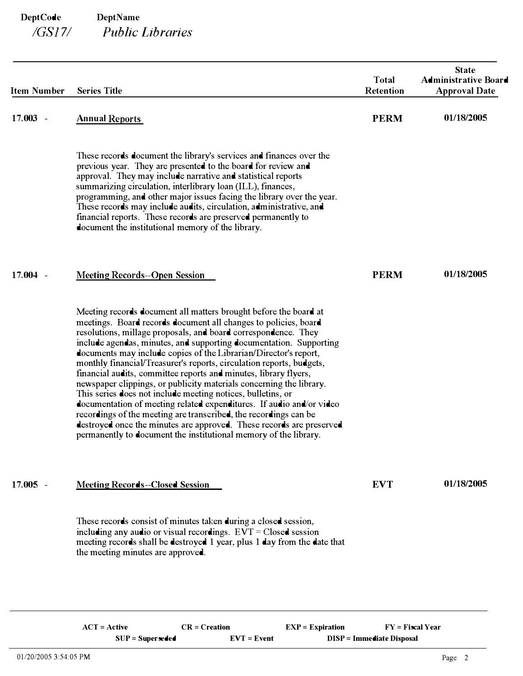| <b>Item Number</b> | <b>Series Title</b>                                                                                                                                                                                                                                                                                                                                                                                                                                                                                                                                                                                                                                                                                                                                                                                                                                                                                                       | <b>Total</b><br><b>Retention</b> | <b>State</b><br><b>Administrative Board</b><br><b>Approval Date</b> |
|--------------------|---------------------------------------------------------------------------------------------------------------------------------------------------------------------------------------------------------------------------------------------------------------------------------------------------------------------------------------------------------------------------------------------------------------------------------------------------------------------------------------------------------------------------------------------------------------------------------------------------------------------------------------------------------------------------------------------------------------------------------------------------------------------------------------------------------------------------------------------------------------------------------------------------------------------------|----------------------------------|---------------------------------------------------------------------|
| $17.003 -$         | <b>Annual Reports</b>                                                                                                                                                                                                                                                                                                                                                                                                                                                                                                                                                                                                                                                                                                                                                                                                                                                                                                     | <b>PERM</b>                      | 01/18/2005                                                          |
|                    | These records document the library's services and finances over the<br>previous year. They are presented to the board for review and<br>approval. They may include narrative and statistical reports<br>summarizing circulation, interlibrary loan (ILL), finances,<br>programming, and other major issues facing the library over the year.<br>These records may include audits, circulation, administrative, and<br>financial reports. These records are preserved permanently to<br>document the institutional memory of the library.                                                                                                                                                                                                                                                                                                                                                                                  |                                  |                                                                     |
| $17.004 -$         | <b>Meeting Records--Open Session</b>                                                                                                                                                                                                                                                                                                                                                                                                                                                                                                                                                                                                                                                                                                                                                                                                                                                                                      | <b>PERM</b>                      | 01/18/2005                                                          |
|                    | Meeting records document all matters brought before the board at<br>meetings. Board records document all changes to policies, board<br>resolutions, millage proposals, and board correspondence. They<br>include agendas, minutes, and supporting documentation. Supporting<br>documents may include copies of the Librarian/Director's report,<br>monthly financial/Treasurer's reports, circulation reports, budgets,<br>financial audits, committee reports and minutes, library flyers,<br>newspaper clippings, or publicity materials concerning the library.<br>This series does not include meeting notices, bulletins, or<br>documentation of meeting related expenditures. If audio and/or video<br>recordings of the meeting are transcribed, the recordings can be<br>destroyed once the minutes are approved. These records are preserved<br>permanently to document the institutional memory of the library. |                                  |                                                                     |
| $17.005 -$         | <b>Meeting Records--Closed Session</b>                                                                                                                                                                                                                                                                                                                                                                                                                                                                                                                                                                                                                                                                                                                                                                                                                                                                                    | <b>EVT</b>                       | 01/18/2005                                                          |
|                    | These records consist of minutes taken during a closed session,<br>including any audio or visual recordings. $EVT = Closed$ session<br>meeting records shall be destroyed 1 year, plus 1 day from the date that<br>the meeting minutes are approved.                                                                                                                                                                                                                                                                                                                                                                                                                                                                                                                                                                                                                                                                      |                                  |                                                                     |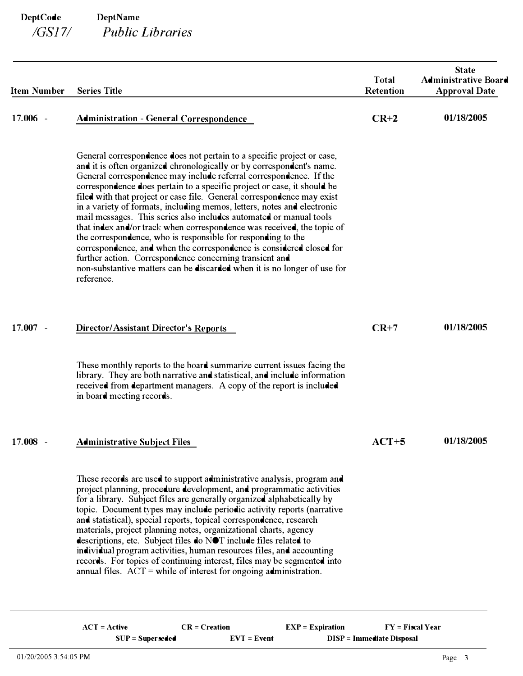| <b>Item Number</b> | <b>Series Title</b>                                                                                                                                                                                                                                                                                                                                                                                                                                                                                                                                                                                                                                                                                                                                                                                                                                                                                | <b>Total</b><br><b>Retention</b> | <b>State</b><br><b>Administrative Board</b><br><b>Approval Date</b> |  |
|--------------------|----------------------------------------------------------------------------------------------------------------------------------------------------------------------------------------------------------------------------------------------------------------------------------------------------------------------------------------------------------------------------------------------------------------------------------------------------------------------------------------------------------------------------------------------------------------------------------------------------------------------------------------------------------------------------------------------------------------------------------------------------------------------------------------------------------------------------------------------------------------------------------------------------|----------------------------------|---------------------------------------------------------------------|--|
| 17.006 -           | <b>Administration - General Correspondence</b>                                                                                                                                                                                                                                                                                                                                                                                                                                                                                                                                                                                                                                                                                                                                                                                                                                                     | $CR+2$                           | 01/18/2005                                                          |  |
|                    | General correspondence does not pertain to a specific project or case,<br>and it is often organized chronologically or by correspondent's name.<br>General correspondence may include referral correspondence. If the<br>correspondence does pertain to a specific project or case, it should be<br>filed with that project or case file. General correspondence may exist<br>in a variety of formats, including memos, letters, notes and electronic<br>mail messages. This series also includes automated or manual tools<br>that index and/or track when correspondence was received, the topic of<br>the correspondence, who is responsible for responding to the<br>correspondence, and when the correspondence is considered closed for<br>further action. Correspondence concerning transient and<br>non-substantive matters can be discarded when it is no longer of use for<br>reference. |                                  |                                                                     |  |
| $17.007 -$         | <b>Director/Assistant Director's Reports</b>                                                                                                                                                                                                                                                                                                                                                                                                                                                                                                                                                                                                                                                                                                                                                                                                                                                       | $CR+7$                           | 01/18/2005                                                          |  |
|                    | These monthly reports to the board summarize current issues facing the<br>library. They are both narrative and statistical, and include information<br>received from department managers. A copy of the report is included<br>in board meeting records.                                                                                                                                                                                                                                                                                                                                                                                                                                                                                                                                                                                                                                            |                                  |                                                                     |  |
| 17.008             | <u>Administrative Subject Files</u>                                                                                                                                                                                                                                                                                                                                                                                                                                                                                                                                                                                                                                                                                                                                                                                                                                                                | $ACT+5$                          | 01/18/2005                                                          |  |
|                    | These records are used to support administrative analysis, program and<br>project planning, procedure development, and programmatic activities<br>for a library. Subject files are generally organized alphabetically by<br>topic. Document types may include periodic activity reports (narrative<br>and statistical), special reports, topical correspondence, research<br>materials, project planning notes, organizational charts, agency<br>descriptions, etc. Subject files do NOT include files related to<br>individual program activities, human resources files, and accounting<br>records. For topics of continuing interest, files may be segmented into<br>annual files. $ACT = while of interest for ongoing administration.$                                                                                                                                                        |                                  |                                                                     |  |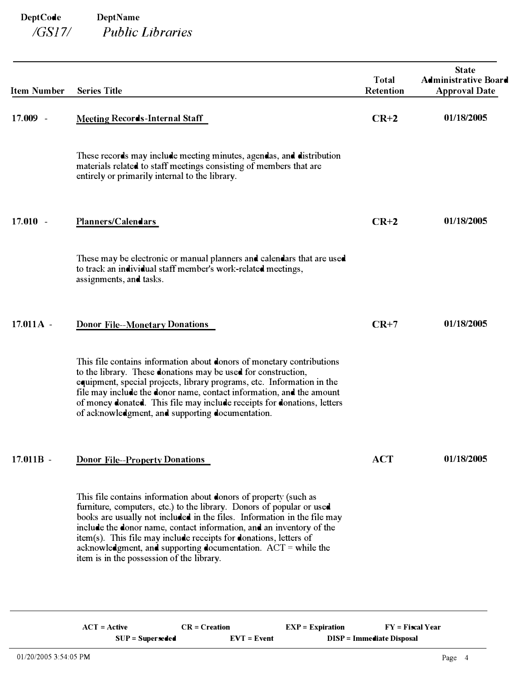| <b>Item Number</b> | <b>Series Title</b>                                                                                                                                                                                                                                                                                                                                                                                                                                                                | <b>Total</b><br><b>Retention</b> | <b>State</b><br><b>Administrative Board</b><br><b>Approval Date</b> |
|--------------------|------------------------------------------------------------------------------------------------------------------------------------------------------------------------------------------------------------------------------------------------------------------------------------------------------------------------------------------------------------------------------------------------------------------------------------------------------------------------------------|----------------------------------|---------------------------------------------------------------------|
| 17.009 -           | <b>Meeting Records-Internal Staff</b>                                                                                                                                                                                                                                                                                                                                                                                                                                              | $CR+2$                           | 01/18/2005                                                          |
|                    | These records may include meeting minutes, agendas, and distribution<br>materials related to staff meetings consisting of members that are<br>entirely or primarily internal to the library.                                                                                                                                                                                                                                                                                       |                                  |                                                                     |
| $17.010 -$         | Planners/Calendars                                                                                                                                                                                                                                                                                                                                                                                                                                                                 | $CR+2$                           | 01/18/2005                                                          |
|                    | These may be electronic or manual planners and calendars that are used<br>to track an individual staff member's work-related meetings,<br>assignments, and tasks.                                                                                                                                                                                                                                                                                                                  |                                  |                                                                     |
| $17.011A -$        | <b>Donor File--Monetary Donations</b>                                                                                                                                                                                                                                                                                                                                                                                                                                              | $CR+7$                           | 01/18/2005                                                          |
|                    | This file contains information about donors of monetary contributions<br>to the library. These donations may be used for construction,<br>equipment, special projects, library programs, etc. Information in the<br>file may include the donor name, contact information, and the amount<br>of money donated. This file may include receipts for donations, letters<br>of acknowledgment, and supporting documentation.                                                            |                                  |                                                                     |
| $17.011B -$        | <b>Donor File--Property Donations</b>                                                                                                                                                                                                                                                                                                                                                                                                                                              | ACT                              | 01/18/2005                                                          |
|                    | This file contains information about donors of property (such as<br>furniture, computers, etc.) to the library. Donors of popular or used<br>books are usually not included in the files. Information in the file may<br>include the donor name, contact information, and an inventory of the<br>item(s). This file may include receipts for donations, letters of<br>acknowledgment, and supporting documentation. $ACT = while the$<br>item is in the possession of the library. |                                  |                                                                     |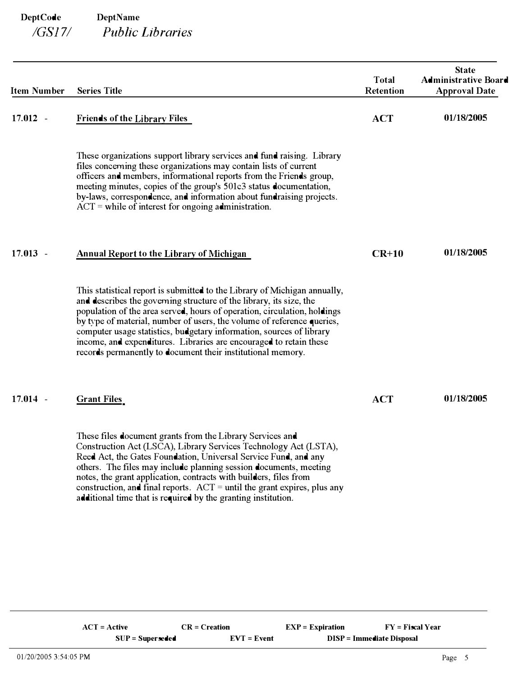| <b>Item Number</b> | <b>Series Title</b>                                                                                                                                                                                                                                                                                                                                                                                                                                                                                                 | <b>Total</b><br><b>Retention</b> | <b>State</b><br><b>Administrative Board</b><br><b>Approval Date</b> |
|--------------------|---------------------------------------------------------------------------------------------------------------------------------------------------------------------------------------------------------------------------------------------------------------------------------------------------------------------------------------------------------------------------------------------------------------------------------------------------------------------------------------------------------------------|----------------------------------|---------------------------------------------------------------------|
| $17.012 -$         | <b>Friends of the Library Files</b>                                                                                                                                                                                                                                                                                                                                                                                                                                                                                 | <b>ACT</b>                       | 01/18/2005                                                          |
|                    | These organizations support library services and fund raising. Library<br>files concerning these organizations may contain lists of current<br>officers and members, informational reports from the Friends group,<br>meeting minutes, copies of the group's 501c3 status documentation,<br>by-laws, correspondence, and information about fundraising projects.<br>$ACT =$ while of interest for ongoing administration.                                                                                           |                                  |                                                                     |
| $17.013 -$         | <b>Annual Report to the Library of Michigan</b>                                                                                                                                                                                                                                                                                                                                                                                                                                                                     | $CR+10$                          | 01/18/2005                                                          |
|                    | This statistical report is submitted to the Library of Michigan annually,<br>and describes the governing structure of the library, its size, the<br>population of the area served, hours of operation, circulation, holdings<br>by type of material, number of users, the volume of reference queries,<br>computer usage statistics, budgetary information, sources of library<br>income, and expenditures. Libraries are encouraged to retain these<br>records permanently to document their institutional memory. |                                  |                                                                     |
| $17.014 -$         | <b>Grant Files</b>                                                                                                                                                                                                                                                                                                                                                                                                                                                                                                  | <b>ACT</b>                       | 01/18/2005                                                          |
|                    | These files document grants from the Library Services and<br>Construction Act (LSCA), Library Services Technology Act (LSTA),<br>Reed Act, the Gates Foundation, Universal Service Fund, and any<br>others. The files may include planning session documents, meeting<br>notes, the grant application, contracts with builders, files from<br>construction, and final reports. ACT = until the grant expires, plus any<br>additional time that is required by the granting institution.                             |                                  |                                                                     |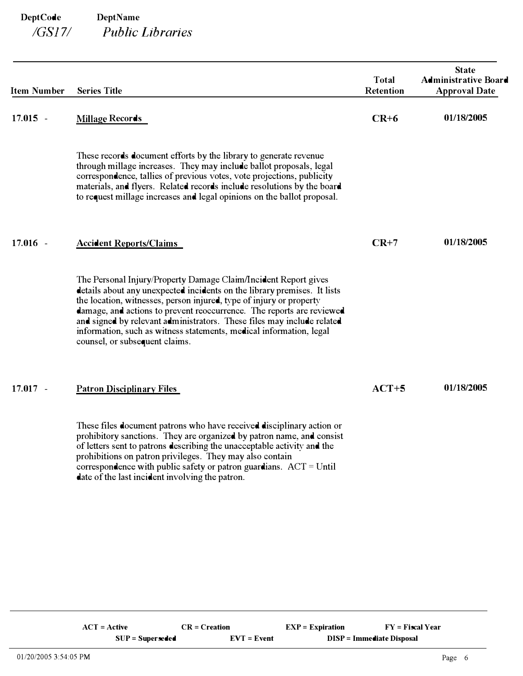| <b>Item Number</b> | <b>Series Title</b>                                                                                                                                                                                                                                                                                                                                                                                                                                                            | <b>Total</b><br>Retention | <b>State</b><br><b>Administrative Board</b><br><b>Approval Date</b> |
|--------------------|--------------------------------------------------------------------------------------------------------------------------------------------------------------------------------------------------------------------------------------------------------------------------------------------------------------------------------------------------------------------------------------------------------------------------------------------------------------------------------|---------------------------|---------------------------------------------------------------------|
| $17.015 -$         | <b>Millage Records</b>                                                                                                                                                                                                                                                                                                                                                                                                                                                         | $CR+6$                    | 01/18/2005                                                          |
|                    | These records document efforts by the library to generate revenue<br>through millage increases. They may include ballot proposals, legal<br>correspondence, tallies of previous votes, vote projections, publicity<br>materials, and flyers. Related records include resolutions by the board<br>to request millage increases and legal opinions on the ballot proposal.                                                                                                       |                           |                                                                     |
| $17.016 -$         | <b>Accident Reports/Claims</b>                                                                                                                                                                                                                                                                                                                                                                                                                                                 | $CR+7$                    | 01/18/2005                                                          |
|                    | The Personal Injury/Property Damage Claim/Incident Report gives<br>details about any unexpected incidents on the library premises. It lists<br>the location, witnesses, person injured, type of injury or property<br>damage, and actions to prevent reoccurrence. The reports are reviewed<br>and signed by relevant administrators. These files may include related<br>information, such as witness statements, medical information, legal<br>counsel, or subsequent claims. |                           |                                                                     |
| $17.017 -$         | <b>Patron Disciplinary Files</b>                                                                                                                                                                                                                                                                                                                                                                                                                                               | $ACT+5$                   | 01/18/2005                                                          |
|                    | These files document patrons who have received disciplinary action or<br>prohibitory sanctions. They are organized by patron name, and consist<br>of letters sent to patrons describing the unacceptable activity and the<br>prohibitions on patron privileges. They may also contain<br>correspondence with public safety or patron guardians. $ACT = Until$<br>date of the last incident involving the patron.                                                               |                           |                                                                     |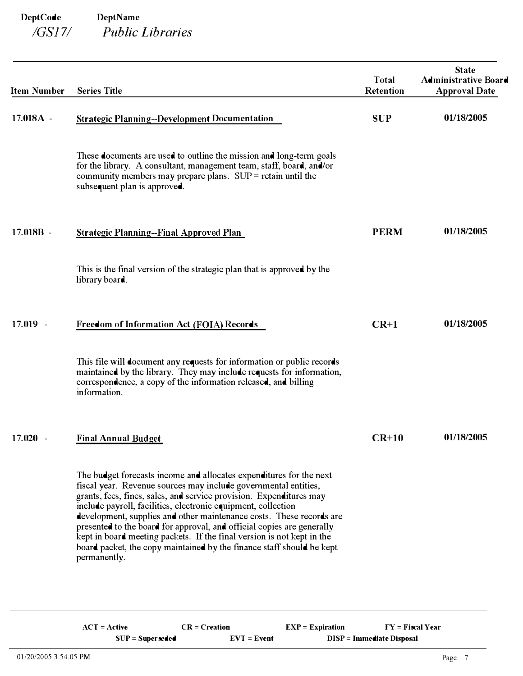| <b>Item Number</b>                 | <b>Series Title</b>                                                                                                                                                                                                                                                                                                                                                                                                                                                                                                                                                                                 | <b>Total</b><br><b>Retention</b> | <b>State</b><br><b>Administrative Board</b><br><b>Approval Date</b> |
|------------------------------------|-----------------------------------------------------------------------------------------------------------------------------------------------------------------------------------------------------------------------------------------------------------------------------------------------------------------------------------------------------------------------------------------------------------------------------------------------------------------------------------------------------------------------------------------------------------------------------------------------------|----------------------------------|---------------------------------------------------------------------|
| 17.018A -                          | <b>Strategic Planning--Development Documentation</b>                                                                                                                                                                                                                                                                                                                                                                                                                                                                                                                                                | <b>SUP</b>                       | 01/18/2005                                                          |
|                                    | These documents are used to outline the mission and long-term goals<br>for the library. A consultant, management team, staff, board, and/or<br>community members may prepare plans. $SUP = retain$ until the<br>subsequent plan is approved.                                                                                                                                                                                                                                                                                                                                                        |                                  |                                                                     |
| 17.018B -                          | <b>Strategic Planning--Final Approved Plan</b>                                                                                                                                                                                                                                                                                                                                                                                                                                                                                                                                                      | <b>PERM</b>                      | 01/18/2005                                                          |
|                                    | This is the final version of the strategic plan that is approved by the<br>library board.                                                                                                                                                                                                                                                                                                                                                                                                                                                                                                           |                                  |                                                                     |
| $17.019 -$                         | Freedom of Information Act (FOIA) Records                                                                                                                                                                                                                                                                                                                                                                                                                                                                                                                                                           | $CR+1$                           | 01/18/2005                                                          |
|                                    | This file will document any requests for information or public records<br>maintained by the library. They may include requests for information,<br>correspondence, a copy of the information released, and billing<br>information.                                                                                                                                                                                                                                                                                                                                                                  |                                  |                                                                     |
| 17.020<br>$\overline{\phantom{a}}$ | <b>Final Annual Budget</b>                                                                                                                                                                                                                                                                                                                                                                                                                                                                                                                                                                          | $CR+10$                          | 01/18/2005                                                          |
|                                    | The budget forecasts income and allocates expenditures for the next<br>fiscal year. Revenue sources may include governmental entities,<br>grants, fees, fines, sales, and service provision. Expenditures may<br>include payroll, facilities, electronic equipment, collection<br>development, supplies and other maintenance costs. These records are<br>presented to the board for approval, and official copies are generally<br>kept in board meeting packets. If the final version is not kept in the<br>board packet, the copy maintained by the finance staff should be kept<br>permanently. |                                  |                                                                     |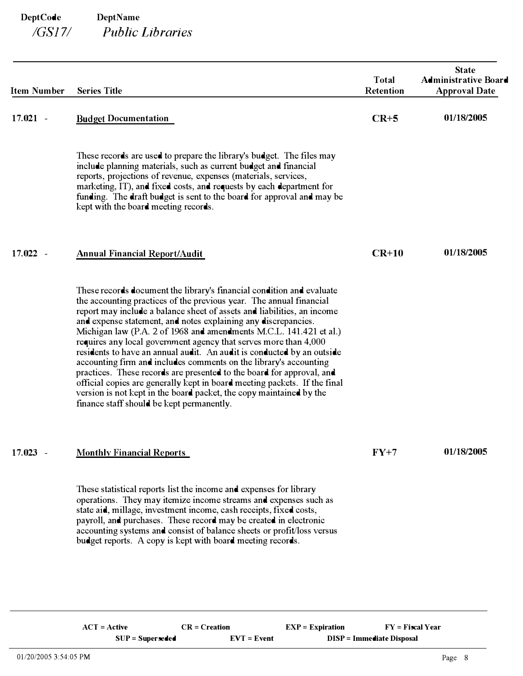| <b>Item Number</b>                 | <b>Series Title</b>                                                                                                                                                                                                                                                                                                                                                                                                                                                                                                                                                                                                                                                                                                                                                                                                                                          | <b>Total</b><br>Retention | <b>State</b><br><b>Administrative Board</b><br><b>Approval Date</b> |
|------------------------------------|--------------------------------------------------------------------------------------------------------------------------------------------------------------------------------------------------------------------------------------------------------------------------------------------------------------------------------------------------------------------------------------------------------------------------------------------------------------------------------------------------------------------------------------------------------------------------------------------------------------------------------------------------------------------------------------------------------------------------------------------------------------------------------------------------------------------------------------------------------------|---------------------------|---------------------------------------------------------------------|
| $17.021 -$                         | <b>Budget Documentation</b>                                                                                                                                                                                                                                                                                                                                                                                                                                                                                                                                                                                                                                                                                                                                                                                                                                  | $CR+5$                    | 01/18/2005                                                          |
|                                    | These records are used to prepare the library's budget. The files may<br>include planning materials, such as current budget and financial<br>reports, projections of revenue, expenses (materials, services,<br>marketing, IT), and fixed costs, and requests by each department for<br>funding. The draft budget is sent to the board for approval and may be<br>kept with the board meeting records.                                                                                                                                                                                                                                                                                                                                                                                                                                                       |                           |                                                                     |
| 17.022<br>$\overline{\phantom{a}}$ | <b>Annual Financial Report/Audit</b>                                                                                                                                                                                                                                                                                                                                                                                                                                                                                                                                                                                                                                                                                                                                                                                                                         | $CR+10$                   | 01/18/2005                                                          |
|                                    | These records document the library's financial condition and evaluate<br>the accounting practices of the previous year. The annual financial<br>report may include a balance sheet of assets and liabilities, an income<br>and expense statement, and notes explaining any discrepancies.<br>Michigan law (P.A. 2 of 1968 and amendments M.C.L. 141.421 et al.)<br>requires any local government agency that serves more than 4,000<br>residents to have an annual audit. An audit is conducted by an outside<br>accounting firm and includes comments on the library's accounting<br>practices. These records are presented to the board for approval, and<br>official copies are generally kept in board meeting packets. If the final<br>version is not kept in the board packet, the copy maintained by the<br>finance staff should be kept permanently. |                           |                                                                     |
| $17.023 -$                         | <b>Monthly Financial Reports</b>                                                                                                                                                                                                                                                                                                                                                                                                                                                                                                                                                                                                                                                                                                                                                                                                                             | $FY+7$                    | 01/18/2005                                                          |
|                                    | These statistical reports list the income and expenses for library<br>operations. They may itemize income streams and expenses such as<br>state aid, millage, investment income, cash receipts, fixed costs,<br>payroll, and purchases. These record may be created in electronic<br>accounting systems and consist of balance sheets or profit/loss versus<br>budget reports. A copy is kept with board meeting records.                                                                                                                                                                                                                                                                                                                                                                                                                                    |                           |                                                                     |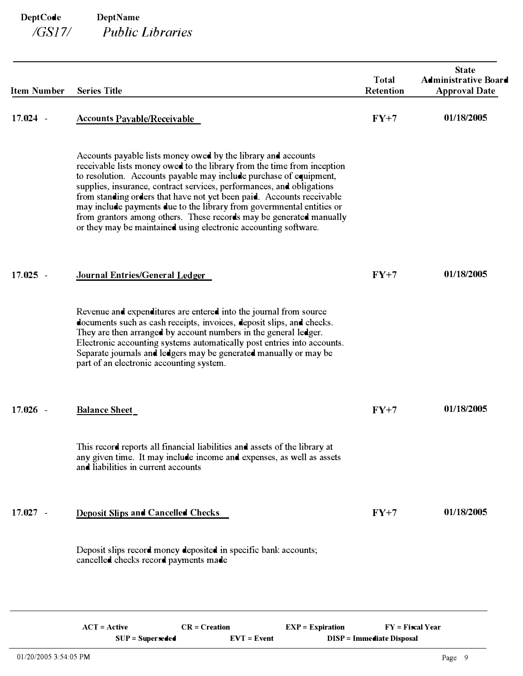| <b>Item Number</b> | <b>Series Title</b>                                                                                                                                                                                                                                                                                                                                                                                                                                                                                                                                                                 | <b>Total</b><br>Retention | <b>State</b><br><b>Administrative Board</b><br><b>Approval Date</b> |
|--------------------|-------------------------------------------------------------------------------------------------------------------------------------------------------------------------------------------------------------------------------------------------------------------------------------------------------------------------------------------------------------------------------------------------------------------------------------------------------------------------------------------------------------------------------------------------------------------------------------|---------------------------|---------------------------------------------------------------------|
| $17.024 -$         | <b>Accounts Payable/Receivable</b>                                                                                                                                                                                                                                                                                                                                                                                                                                                                                                                                                  | $FY+7$                    | 01/18/2005                                                          |
|                    | Accounts payable lists money owed by the library and accounts<br>receivable lists money owed to the library from the time from inception<br>to resolution. Accounts payable may include purchase of equipment,<br>supplies, insurance, contract services, performances, and obligations<br>from standing orders that have not yet been paid. Accounts receivable<br>may include payments due to the library from governmental entities or<br>from grantors among others. These records may be generated manually<br>or they may be maintained using electronic accounting software. |                           |                                                                     |
| $17.025 -$         | Journal Entries/General Ledger                                                                                                                                                                                                                                                                                                                                                                                                                                                                                                                                                      | $FY+7$                    | 01/18/2005                                                          |
|                    | Revenue and expenditures are entered into the journal from source<br>documents such as eash receipts, invoices, deposit slips, and checks.<br>They are then arranged by account numbers in the general ledger.<br>Electronic accounting systems automatically post entries into accounts.<br>Separate journals and ledgers may be generated manually or may be<br>part of an electronic accounting system.                                                                                                                                                                          |                           |                                                                     |
| $17.026 -$         | <b>Balance Sheet</b>                                                                                                                                                                                                                                                                                                                                                                                                                                                                                                                                                                | $FY+7$                    | 01/18/2005                                                          |
|                    | This record reports all financial liabilities and assets of the library at<br>any given time. It may include income and expenses, as well as assets<br>and liabilities in current accounts                                                                                                                                                                                                                                                                                                                                                                                          |                           |                                                                     |
| $17.027 -$         | <b>Deposit Slips and Cancelled Checks</b>                                                                                                                                                                                                                                                                                                                                                                                                                                                                                                                                           | $FY+7$                    | 01/18/2005                                                          |
|                    | Deposit slips record money deposited in specific bank accounts;<br>cancelled checks record payments made                                                                                                                                                                                                                                                                                                                                                                                                                                                                            |                           |                                                                     |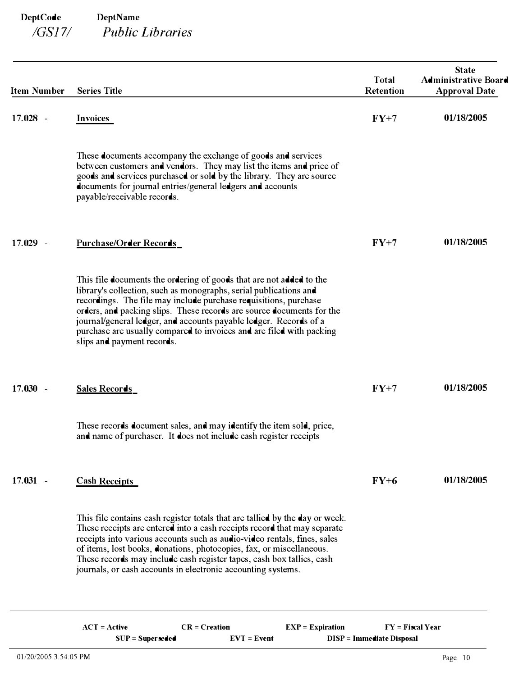| <b>Item Number</b> | <b>Series Title</b>                                                                                                                                                                                                                                                                                                                                                                                                                                              | <b>Total</b><br><b>Retention</b> | <b>State</b><br><b>Administrative Board</b><br><b>Approval Date</b> |
|--------------------|------------------------------------------------------------------------------------------------------------------------------------------------------------------------------------------------------------------------------------------------------------------------------------------------------------------------------------------------------------------------------------------------------------------------------------------------------------------|----------------------------------|---------------------------------------------------------------------|
| $17.028 -$         | Invoices                                                                                                                                                                                                                                                                                                                                                                                                                                                         | $FY+7$                           | 01/18/2005                                                          |
|                    | These documents accompany the exchange of goods and services<br>between customers and vendors. They may list the items and price of<br>goods and services purchased or sold by the library. They are source<br>documents for journal entries/general ledgers and accounts<br>payable/receivable records.                                                                                                                                                         |                                  |                                                                     |
| 17.029<br>$\sim$   | <b>Purchase/Order Records</b>                                                                                                                                                                                                                                                                                                                                                                                                                                    | $FY+7$                           | 01/18/2005                                                          |
|                    | This file documents the ordering of goods that are not added to the<br>library's collection, such as monographs, serial publications and<br>recordings. The file may include purchase requisitions, purchase<br>orders, and packing slips. These records are source documents for the<br>journal/general ledger, and accounts payable ledger. Records of a<br>purchase are usually compared to invoices and are filed with packing<br>slips and payment records. |                                  |                                                                     |
| $17.030 -$         | <b>Sales Records</b>                                                                                                                                                                                                                                                                                                                                                                                                                                             | $FY+7$                           | 01/18/2005                                                          |
|                    | These records document sales, and may identify the item sold, price,<br>and name of purchaser. It does not include cash register receipts                                                                                                                                                                                                                                                                                                                        |                                  |                                                                     |
| $17.031 -$         | <b>Cash Receipts</b>                                                                                                                                                                                                                                                                                                                                                                                                                                             | $FY+6$                           | 01/18/2005                                                          |
|                    | This file contains cash register totals that are tallied by the day or week.<br>These receipts are entered into a cash receipts record that may separate<br>receipts into various accounts such as audio-video rentals, fines, sales<br>of items, lost books, donations, photocopies, fax, or miscellaneous.<br>These records may include cash register tapes, cash box tallies, cash<br>journals, or cash accounts in electronic accounting systems.            |                                  |                                                                     |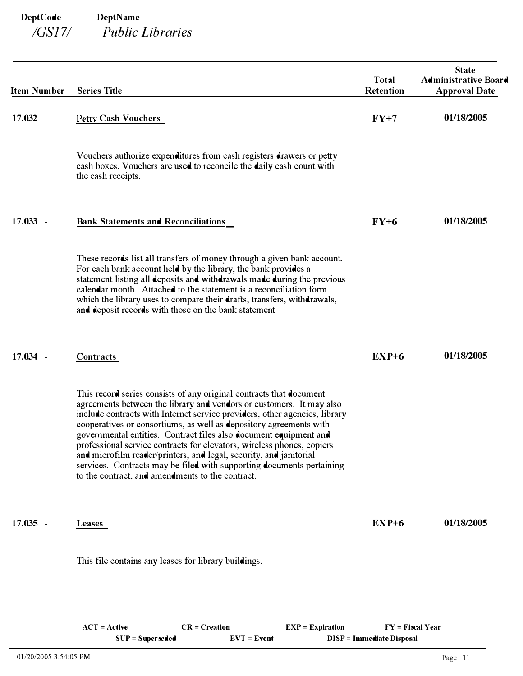| <b>Item Number</b> | <b>Series Title</b>                        |                                                                                                                                                                                                                                                                                                                                                                                                                                                                                                                                                                                                                                                   |                    | <b>Total</b><br><b>Retention</b> | <b>State</b><br><b>Administrative Board</b><br><b>Approval Date</b> |
|--------------------|--------------------------------------------|---------------------------------------------------------------------------------------------------------------------------------------------------------------------------------------------------------------------------------------------------------------------------------------------------------------------------------------------------------------------------------------------------------------------------------------------------------------------------------------------------------------------------------------------------------------------------------------------------------------------------------------------------|--------------------|----------------------------------|---------------------------------------------------------------------|
| $17.032 -$         | <b>Petty Cash Vouchers</b>                 |                                                                                                                                                                                                                                                                                                                                                                                                                                                                                                                                                                                                                                                   |                    | $FY+7$                           | 01/18/2005                                                          |
|                    | the cash receipts.                         | Vouchers authorize expenditures from cash registers drawers or petty<br>cash boxes. Vouchers are used to reconcile the daily cash count with                                                                                                                                                                                                                                                                                                                                                                                                                                                                                                      |                    |                                  |                                                                     |
| 17.033<br>$\sim$   | <b>Bank Statements and Reconciliations</b> |                                                                                                                                                                                                                                                                                                                                                                                                                                                                                                                                                                                                                                                   |                    | $FY+6$                           | 01/18/2005                                                          |
|                    |                                            | These records list all transfers of money through a given bank account.<br>For each bank account held by the library, the bank provides a<br>statement listing all deposits and withdrawals made during the previous<br>calendar month. Attached to the statement is a reconciliation form<br>which the library uses to compare their drafts, transfers, withdrawals,<br>and deposit records with those on the bank statement                                                                                                                                                                                                                     |                    |                                  |                                                                     |
| $17.034 -$         | Contracts                                  |                                                                                                                                                                                                                                                                                                                                                                                                                                                                                                                                                                                                                                                   |                    | $EXP+6$                          | 01/18/2005                                                          |
|                    |                                            | This record series consists of any original contracts that document<br>agreements between the library and vendors or customers. It may also<br>include contracts with Internet service providers, other agencies, library<br>cooperatives or consortiums, as well as depository agreements with<br>governmental entities. Contract files also document equipment and<br>professional service contracts for elevators, wireless phones, copiers<br>and microfilm reader/printers, and legal, security, and janitorial<br>services. Contracts may be filed with supporting documents pertaining<br>to the contract, and amendments to the contract. |                    |                                  |                                                                     |
| $17.035 -$         | <b>Leases</b>                              |                                                                                                                                                                                                                                                                                                                                                                                                                                                                                                                                                                                                                                                   |                    | $EXP+6$                          | 01/18/2005                                                          |
|                    |                                            | This file contains any leases for library buildings.                                                                                                                                                                                                                                                                                                                                                                                                                                                                                                                                                                                              |                    |                                  |                                                                     |
|                    | $ACT = Active$                             | $CR = C$ reation                                                                                                                                                                                                                                                                                                                                                                                                                                                                                                                                                                                                                                  | $EXP = Expiration$ | $FY = \nF\text{iscal Year}$      |                                                                     |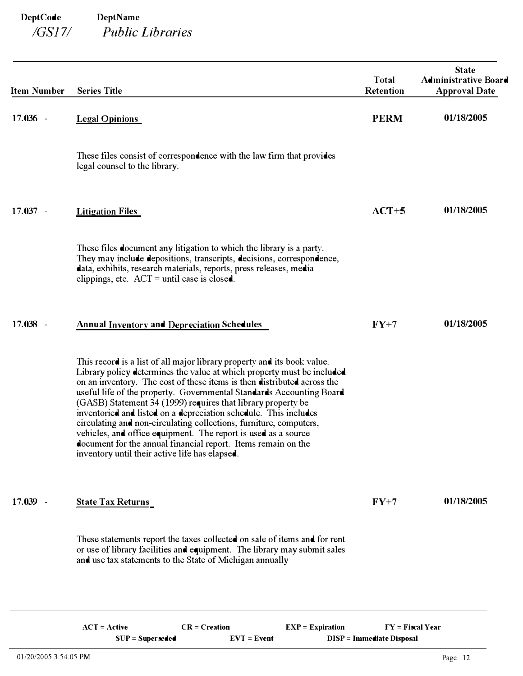| <b>Item Number</b> | <b>Series Title</b>                                                                                                                                                                                                                                                                                                                                                                                                                                                                                                                                                                                                                                                                                 | <b>Total</b><br>Retention | <b>State</b><br><b>Administrative Board</b><br><b>Approval Date</b> |
|--------------------|-----------------------------------------------------------------------------------------------------------------------------------------------------------------------------------------------------------------------------------------------------------------------------------------------------------------------------------------------------------------------------------------------------------------------------------------------------------------------------------------------------------------------------------------------------------------------------------------------------------------------------------------------------------------------------------------------------|---------------------------|---------------------------------------------------------------------|
| $17.036 -$         | <b>Legal Opinions</b>                                                                                                                                                                                                                                                                                                                                                                                                                                                                                                                                                                                                                                                                               | <b>PERM</b>               | 01/18/2005                                                          |
|                    | These files consist of correspondence with the law firm that provides<br>legal counsel to the library.                                                                                                                                                                                                                                                                                                                                                                                                                                                                                                                                                                                              |                           |                                                                     |
| $17.037 -$         | <b>Litigation Files</b>                                                                                                                                                                                                                                                                                                                                                                                                                                                                                                                                                                                                                                                                             | $ACT+5$                   | 01/18/2005                                                          |
|                    | These files document any litigation to which the library is a party.<br>They may include depositions, transcripts, decisions, correspondence,<br>data, exhibits, research materials, reports, press releases, media<br>clippings, etc. $ACT = until case is closed.$                                                                                                                                                                                                                                                                                                                                                                                                                                |                           |                                                                     |
| $17.038 -$         | <b>Annual Inventory and Depreciation Schedules</b>                                                                                                                                                                                                                                                                                                                                                                                                                                                                                                                                                                                                                                                  | $FY+7$                    | 01/18/2005                                                          |
|                    | This record is a list of all major library property and its book value.<br>Library policy determines the value at which property must be included<br>on an inventory. The cost of these items is then distributed across the<br>useful life of the property. Governmental Standards Accounting Board<br>(GASB) Statement 34 (1999) requires that library property be<br>inventoried and listed on a depreciation schedule. This includes<br>circulating and non-circulating collections, furniture, computers,<br>vehicles, and office equipment. The report is used as a source<br>document for the annual financial report. Items remain on the<br>inventory until their active life has elapsed. |                           |                                                                     |
| $17.039 -$         | <b>State Tax Returns</b>                                                                                                                                                                                                                                                                                                                                                                                                                                                                                                                                                                                                                                                                            | $FY+7$                    | 01/18/2005                                                          |
|                    | These statements report the taxes collected on sale of items and for rent<br>or use of library facilities and equipment. The library may submit sales<br>and use tax statements to the State of Michigan annually                                                                                                                                                                                                                                                                                                                                                                                                                                                                                   |                           |                                                                     |
|                    |                                                                                                                                                                                                                                                                                                                                                                                                                                                                                                                                                                                                                                                                                                     |                           |                                                                     |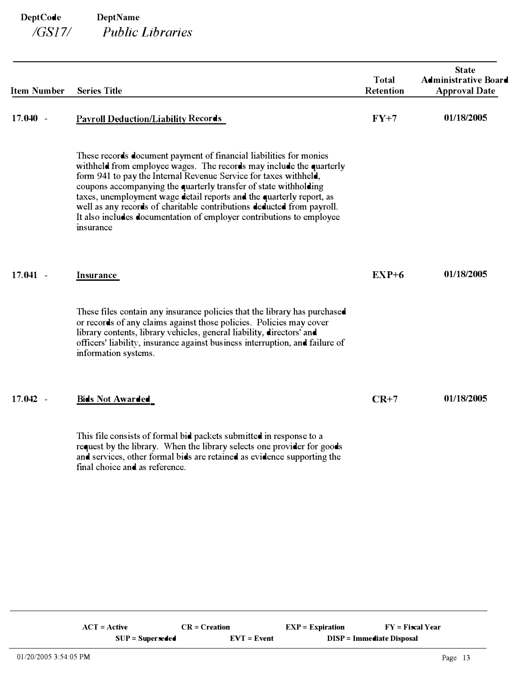| <b>Item Number</b> | <b>Series Title</b>                                                                                                                                                                                                                                                                                                                                                                                                                                                                                                      | <b>Total</b><br><b>Retention</b> | <b>State</b><br><b>Administrative Board</b><br><b>Approval Date</b> |
|--------------------|--------------------------------------------------------------------------------------------------------------------------------------------------------------------------------------------------------------------------------------------------------------------------------------------------------------------------------------------------------------------------------------------------------------------------------------------------------------------------------------------------------------------------|----------------------------------|---------------------------------------------------------------------|
| $17.040 -$         | <b>Payroll Deduction/Liability Records</b>                                                                                                                                                                                                                                                                                                                                                                                                                                                                               | $FY+7$                           | 01/18/2005                                                          |
|                    | These records document payment of financial liabilities for monies<br>withheld from employee wages. The records may include the quarterly<br>form 941 to pay the Internal Revenue Service for taxes withheld,<br>coupons accompanying the quarterly transfer of state withholding<br>taxes, unemployment wage detail reports and the quarterly report, as<br>well as any records of charitable contributions deducted from payroll.<br>It also includes documentation of employer contributions to employee<br>insurance |                                  |                                                                     |
| $17.041 -$         | <b>Insurance</b>                                                                                                                                                                                                                                                                                                                                                                                                                                                                                                         | $EXP+6$                          | 01/18/2005                                                          |
|                    | These files contain any insurance policies that the library has purchased<br>or records of any claims against those policies. Policies may cover<br>library contents, library vehicles, general liability, directors' and<br>officers' liability, insurance against business interruption, and failure of<br>information systems.                                                                                                                                                                                        |                                  |                                                                     |
| $17.042 -$         | <b>Bids Not Awarded</b>                                                                                                                                                                                                                                                                                                                                                                                                                                                                                                  | $CR+7$                           | 01/18/2005                                                          |
|                    | This file consists of formal bid packets submitted in response to a<br>request by the library. When the library selects one provider for goods<br>and services, other formal bids are retained as evidence supporting the<br>final choice and as reference.                                                                                                                                                                                                                                                              |                                  |                                                                     |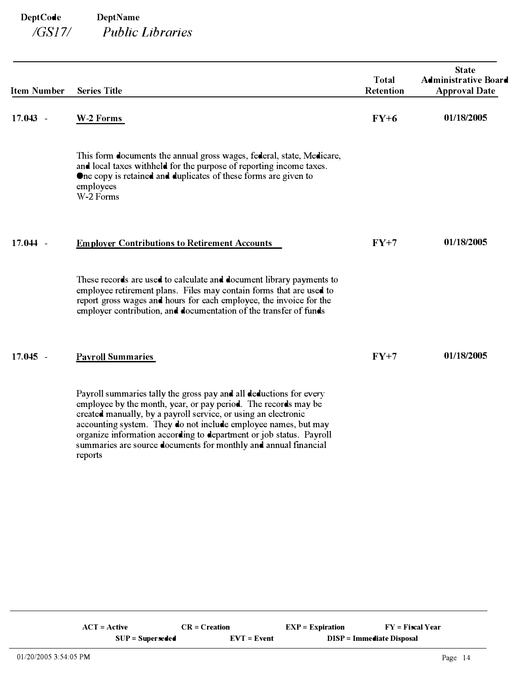| <b>Item Number</b>                 | <b>Series Title</b>                                                                                                                                                                                                                                                                                                                                                                                                           | <b>Total</b><br><b>Retention</b> | <b>State</b><br><b>Administrative Board</b><br><b>Approval Date</b> |
|------------------------------------|-------------------------------------------------------------------------------------------------------------------------------------------------------------------------------------------------------------------------------------------------------------------------------------------------------------------------------------------------------------------------------------------------------------------------------|----------------------------------|---------------------------------------------------------------------|
| 17.043<br>$\overline{\phantom{a}}$ | W-2 Forms                                                                                                                                                                                                                                                                                                                                                                                                                     | $FY+6$                           | 01/18/2005                                                          |
|                                    | This form documents the annual gross wages, federal, state, Medicare,<br>and local taxes withheld for the purpose of reporting income taxes.<br>One copy is retained and duplicates of these forms are given to<br>employees<br>W-2 Forms                                                                                                                                                                                     |                                  |                                                                     |
| 17.044<br>$\overline{\phantom{a}}$ | <b>Employer Contributions to Retirement Accounts</b>                                                                                                                                                                                                                                                                                                                                                                          | $FY+7$                           | 01/18/2005                                                          |
|                                    | These records are used to calculate and document library payments to<br>employee retirement plans. Files may contain forms that are used to<br>report gross wages and hours for each employee, the invoice for the<br>employer contribution, and documentation of the transfer of funds                                                                                                                                       |                                  |                                                                     |
| $17.045 -$                         | <b>Payroll Summaries</b>                                                                                                                                                                                                                                                                                                                                                                                                      | $FY+7$                           | 01/18/2005                                                          |
|                                    | Payroll summaries tally the gross pay and all deductions for every<br>employee by the month, year, or pay period. The records may be<br>created manually, by a payroll service, or using an electronic<br>accounting system. They do not include employee names, but may<br>organize information according to department or job status. Payroll<br>summaries are source documents for monthly and annual financial<br>reports |                                  |                                                                     |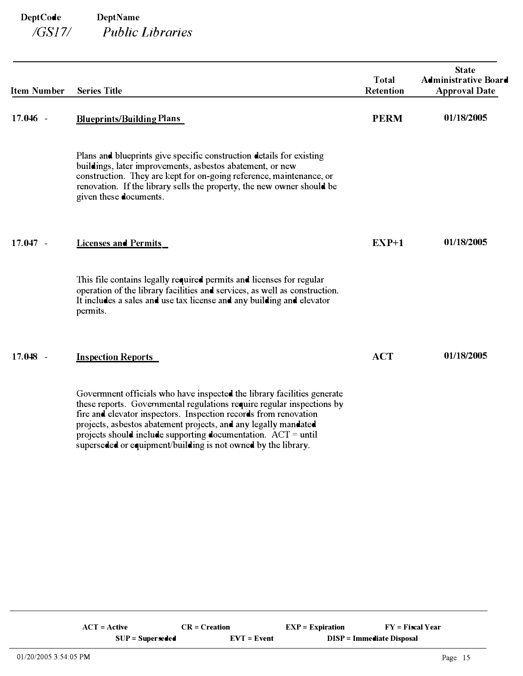| <b>Item Number</b>                 | <b>Series Title</b>                                                                                                                                                                                                                                                                                                                                         | <b>Total</b><br><b>Retention</b> | <b>State</b><br><b>Administrative Board</b><br><b>Approval Date</b> |
|------------------------------------|-------------------------------------------------------------------------------------------------------------------------------------------------------------------------------------------------------------------------------------------------------------------------------------------------------------------------------------------------------------|----------------------------------|---------------------------------------------------------------------|
| $17.046 -$                         | <b>Blueprints/Building Plans</b>                                                                                                                                                                                                                                                                                                                            | <b>PERM</b>                      | 01/18/2005                                                          |
|                                    | Plans and blueprints give specific construction details for existing<br>buildings, later improvements, asbestos abatement, or new<br>construction. They are kept for on-going reference, maintenance, or<br>renovation. If the library sells the property, the new owner should be<br>given these documents.                                                |                                  |                                                                     |
| 17.047<br>$\overline{\phantom{a}}$ | <b>Licenses and Permits</b>                                                                                                                                                                                                                                                                                                                                 | $EXP+1$                          | 01/18/2005                                                          |
|                                    | This file contains legally required permits and licenses for regular<br>operation of the library facilities and services, as well as construction.<br>It includes a sales and use tax license and any building and elevator<br>permits.                                                                                                                     |                                  |                                                                     |
| $17.048 -$                         | <b>Inspection Reports</b>                                                                                                                                                                                                                                                                                                                                   | <b>ACT</b>                       | 01/18/2005                                                          |
|                                    | Government officials who have inspected the library facilities generate<br>these reports. Governmental regulations require regular inspections by<br>fire and elevator inspectors. Inspection records from renovation<br>projects, asbestos abatement projects, and any legally mandated<br>projects should include supporting documentation. $ACT = until$ |                                  |                                                                     |

superseded or equipment/building is not owned by the library.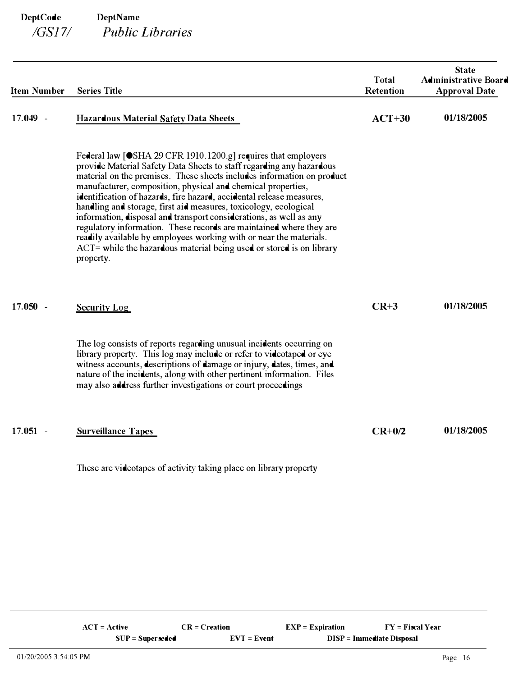| <b>Item Number</b> | <b>Series Title</b>                                                                                                                                                                                                                                                                                                                                                                                                                                                                                                                                                                                                                                                                                                                    | <b>Total</b><br>Retention | <b>State</b><br><b>Administrative Board</b><br><b>Approval Date</b> |
|--------------------|----------------------------------------------------------------------------------------------------------------------------------------------------------------------------------------------------------------------------------------------------------------------------------------------------------------------------------------------------------------------------------------------------------------------------------------------------------------------------------------------------------------------------------------------------------------------------------------------------------------------------------------------------------------------------------------------------------------------------------------|---------------------------|---------------------------------------------------------------------|
| 17.049 -           | Hazardous Material Safety Data Sheets                                                                                                                                                                                                                                                                                                                                                                                                                                                                                                                                                                                                                                                                                                  | $ACT+30$                  | 01/18/2005                                                          |
|                    | Federal law [●SHA 29 CFR 1910.1200.g] requires that employers<br>provide Material Safety Data Sheets to staff regarding any hazardous<br>material on the premises. These sheets includes information on product<br>manufacturer, composition, physical and chemical properties,<br>identification of hazards, fire hazard, accidental release measures,<br>handling and storage, first aid measures, toxicology, ecological<br>information, disposal and transport considerations, as well as any<br>regulatory information. These records are maintained where they are<br>readily available by employees working with or near the materials.<br>$ACT =$ while the hazardous material being used or stored is on library<br>property. |                           |                                                                     |
| $17.050 -$         | <b>Security Log</b>                                                                                                                                                                                                                                                                                                                                                                                                                                                                                                                                                                                                                                                                                                                    | $CR+3$                    | 01/18/2005                                                          |
|                    | The log consists of reports regarding unusual incidents occurring on<br>library property. This log may include or refer to videotaped or eye<br>witness accounts, descriptions of damage or injury, dates, times, and<br>nature of the incidents, along with other pertinent information. Files<br>may also address further investigations or court proceedings                                                                                                                                                                                                                                                                                                                                                                        |                           |                                                                     |
| $17.051 -$         | <b>Surveillance Tapes</b>                                                                                                                                                                                                                                                                                                                                                                                                                                                                                                                                                                                                                                                                                                              | $CR+0/2$                  | 01/18/2005                                                          |

These are videotapes of activity taking place on library property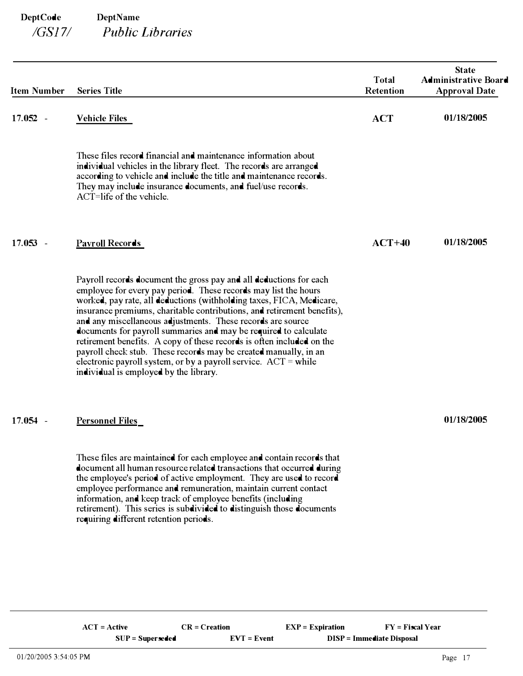| <b>Item Number</b> | <b>Series Title</b>                                                                                                                                                                                                                                                                                                                                                                                                                                                                                                                                                                                                                                                                     | <b>Total</b><br><b>Retention</b> | <b>State</b><br><b>Administrative Board</b><br><b>Approval Date</b> |
|--------------------|-----------------------------------------------------------------------------------------------------------------------------------------------------------------------------------------------------------------------------------------------------------------------------------------------------------------------------------------------------------------------------------------------------------------------------------------------------------------------------------------------------------------------------------------------------------------------------------------------------------------------------------------------------------------------------------------|----------------------------------|---------------------------------------------------------------------|
| $17.052 -$         | <b>Vehicle Files</b>                                                                                                                                                                                                                                                                                                                                                                                                                                                                                                                                                                                                                                                                    | <b>ACT</b>                       | 01/18/2005                                                          |
|                    | These files record financial and maintenance information about<br>individual vehicles in the library fleet. The records are arranged<br>according to vehicle and include the title and maintenance records.<br>They may include insurance documents, and fuel/use records.<br>$ACT=$ life of the vehicle.                                                                                                                                                                                                                                                                                                                                                                               |                                  |                                                                     |
| $17.053 -$         | <b>Payroll Records</b>                                                                                                                                                                                                                                                                                                                                                                                                                                                                                                                                                                                                                                                                  | $ACT+40$                         | 01/18/2005                                                          |
|                    | Payroll records document the gross pay and all deductions for each<br>employee for every pay period. These records may list the hours<br>worked, pay rate, all deductions (withholding taxes, FICA, Medicare,<br>insurance premiums, charitable contributions, and retirement benefits),<br>and any miscellaneous adjustments. These records are source<br>documents for payroll summaries and may be required to calculate<br>retirement benefits. A copy of these records is often included on the<br>payroll check stub. These records may be created manually, in an<br>electronic payroll system, or by a payroll service. $ACT = while$<br>individual is employed by the library. |                                  |                                                                     |
| $17.054 -$         | <b>Personnel Files</b>                                                                                                                                                                                                                                                                                                                                                                                                                                                                                                                                                                                                                                                                  |                                  | 01/18/2005                                                          |
|                    | These files are maintained for each employee and contain records that<br>document all human resource related transactions that occurred during<br>the employee's period of active employment. They are used to record<br>employee performance and remuneration, maintain current contact<br>information, and keep track of employee benefits (including<br>retirement). This series is subdivided to distinguish those documents<br>requiring different retention periods.                                                                                                                                                                                                              |                                  |                                                                     |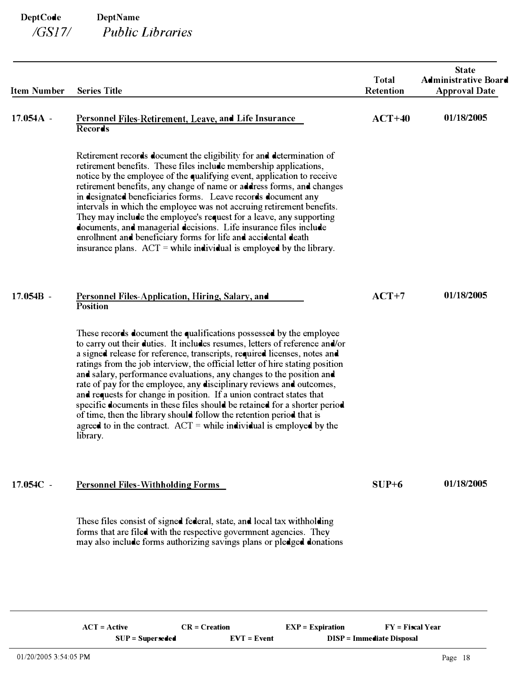| <b>Item Number</b> | <b>Series Title</b>                                                                                                                                                                                                                                                                                                                                                                                                                                                                                                                                                                                                                                                                                                                                                                | <b>Total</b><br><b>Retention</b> | <b>State</b><br><b>Administrative Board</b><br><b>Approval Date</b> |
|--------------------|------------------------------------------------------------------------------------------------------------------------------------------------------------------------------------------------------------------------------------------------------------------------------------------------------------------------------------------------------------------------------------------------------------------------------------------------------------------------------------------------------------------------------------------------------------------------------------------------------------------------------------------------------------------------------------------------------------------------------------------------------------------------------------|----------------------------------|---------------------------------------------------------------------|
| $17.054A -$        | Personnel Files-Retirement, Leave, and Life Insurance<br><b>Records</b>                                                                                                                                                                                                                                                                                                                                                                                                                                                                                                                                                                                                                                                                                                            | $ACT+40$                         | 01/18/2005                                                          |
|                    | Retirement records document the eligibility for and determination of<br>retirement benefits. These files include membership applications,<br>notice by the employee of the qualifying event, application to receive<br>retirement benefits, any change of name or address forms, and changes<br>in designated beneficiaries forms. Leave records document any<br>intervals in which the employee was not accruing retirement benefits.<br>They may include the employee's request for a leave, any supporting<br>documents, and managerial decisions. Life insurance files include<br>enrollment and beneficiary forms for life and accidental death<br>insurance plans. $ACT = while individual is employed by the library.$                                                      |                                  |                                                                     |
| $17.054B -$        | <b>Personnel Files-Application, Hiring, Salary, and</b><br><b>Position</b>                                                                                                                                                                                                                                                                                                                                                                                                                                                                                                                                                                                                                                                                                                         | $ACT+7$                          | 01/18/2005                                                          |
|                    | These records document the qualifications possessed by the employee<br>to carry out their duties. It includes resumes, letters of reference and/or<br>a signed release for reference, transcripts, required licenses, notes and<br>ratings from the job interview, the official letter of hire stating position<br>and salary, performance evaluations, any changes to the position and<br>rate of pay for the employee, any disciplinary reviews and outcomes,<br>and requests for change in position. If a union contract states that<br>specific documents in these files should be retained for a shorter period<br>of time, then the library should follow the retention period that is<br>agreed to in the contract. $ACT = while individual is employed by the$<br>library. |                                  |                                                                     |
| 17.054C -          | <b>Personnel Files-Withholding Forms</b>                                                                                                                                                                                                                                                                                                                                                                                                                                                                                                                                                                                                                                                                                                                                           | $SUP+6$                          | 01/18/2005                                                          |
|                    | These files consist of signed federal, state, and local tax withholding<br>forms that are filed with the respective government agencies. They<br>may also include forms authorizing savings plans or pledged donations                                                                                                                                                                                                                                                                                                                                                                                                                                                                                                                                                             |                                  |                                                                     |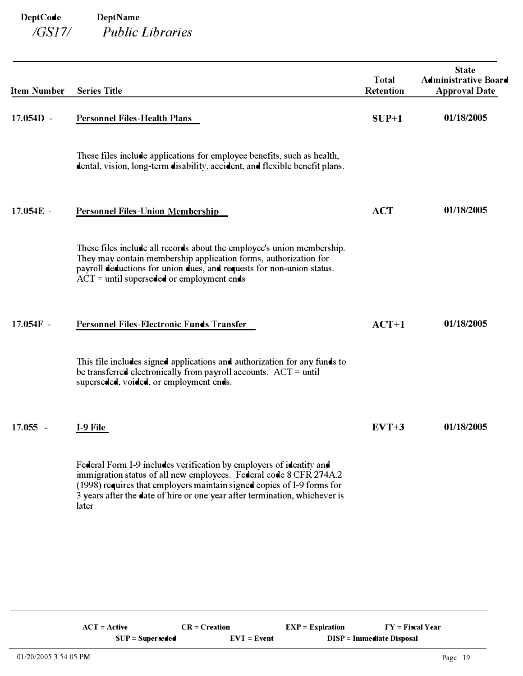| <b>Item Number</b>                 | <b>Series Title</b>                                                                                                                                                                                                                                                                                        | <b>Total</b><br><b>Retention</b> | <b>State</b><br><b>Administrative Board</b><br><b>Approval Date</b> |
|------------------------------------|------------------------------------------------------------------------------------------------------------------------------------------------------------------------------------------------------------------------------------------------------------------------------------------------------------|----------------------------------|---------------------------------------------------------------------|
| $17.054D -$                        | <b>Personnel Files-Health Plans</b>                                                                                                                                                                                                                                                                        | $SUP+1$                          | 01/18/2005                                                          |
|                                    | These files include applications for employee benefits, such as health,<br>dental, vision, long-term disability, accident, and flexible benefit plans.                                                                                                                                                     |                                  |                                                                     |
| 17.054E -                          | <b>Personnel Files-Union Membership</b>                                                                                                                                                                                                                                                                    | <b>ACT</b>                       | 01/18/2005                                                          |
|                                    | These files include all records about the employee's union membership.<br>They may contain membership application forms, authorization for<br>payroll deductions for union dues, and requests for non-union status.<br>$ACT = until superseded or employment ends$                                         |                                  |                                                                     |
| $17.054F -$                        | Personnel Files-Electronic Funds Transfer                                                                                                                                                                                                                                                                  | $ACT+1$                          | 01/18/2005                                                          |
|                                    | This file includes signed applications and authorization for any funds to<br>be transferred electronically from payroll accounts. $ACT = until$<br>superseded, voided, or employment ends.                                                                                                                 |                                  |                                                                     |
| 17.055<br>$\overline{\phantom{a}}$ | <b>I-9 File</b>                                                                                                                                                                                                                                                                                            | $EVT+3$                          | 01/18/2005                                                          |
|                                    | Federal Form I-9 includes verification by employers of identity and<br>immigration status of all new employees. Federal code 8 CFR 274A.2<br>(1998) requires that employers maintain signed copies of I-9 forms for<br>3 years after the date of hire or one year after termination, whichever is<br>later |                                  |                                                                     |
|                                    |                                                                                                                                                                                                                                                                                                            |                                  |                                                                     |
|                                    |                                                                                                                                                                                                                                                                                                            |                                  |                                                                     |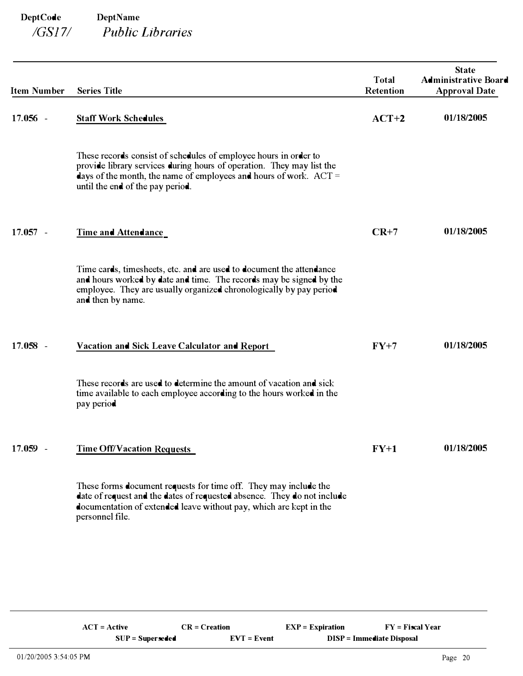| <b>Item Number</b> | <b>Series Title</b>                                                                                                                                                                                                                                  | <b>Total</b><br>Retention | <b>State</b><br><b>Administrative Board</b><br><b>Approval Date</b> |
|--------------------|------------------------------------------------------------------------------------------------------------------------------------------------------------------------------------------------------------------------------------------------------|---------------------------|---------------------------------------------------------------------|
| $17.056 -$         | <b>Staff Work Schedules</b>                                                                                                                                                                                                                          | $ACT+2$                   | 01/18/2005                                                          |
|                    | These records consist of schedules of employee hours in order to<br>provide library services during hours of operation. They may list the<br>days of the month, the name of employees and hours of work. $ACT =$<br>until the end of the pay period. |                           |                                                                     |
| $17.057 -$         | <b>Time and Attendance</b>                                                                                                                                                                                                                           | $CR+7$                    | 01/18/2005                                                          |
|                    | Time cards, timesheets, etc. and are used to document the attendance<br>and hours worked by date and time. The records may be signed by the<br>employee. They are usually organized chronologically by pay period<br>and then by name.               |                           |                                                                     |
| $17.058 -$         | <b>Vacation and Sick Leave Calculator and Report</b>                                                                                                                                                                                                 | $FY+7$                    | 01/18/2005                                                          |
|                    | These records are used to determine the amount of vacation and sick<br>time available to each employee according to the hours worked in the<br>pay period                                                                                            |                           |                                                                     |
| 17.059 -           | <b>Time Off/Vacation Requests</b>                                                                                                                                                                                                                    | $FY+1$                    | 01/18/2005                                                          |
|                    | These forms document requests for time off. They may include the<br>date of request and the dates of requested absence. They do not include<br>documentation of extended leave without pay, which are kept in the<br>personnel file.                 |                           |                                                                     |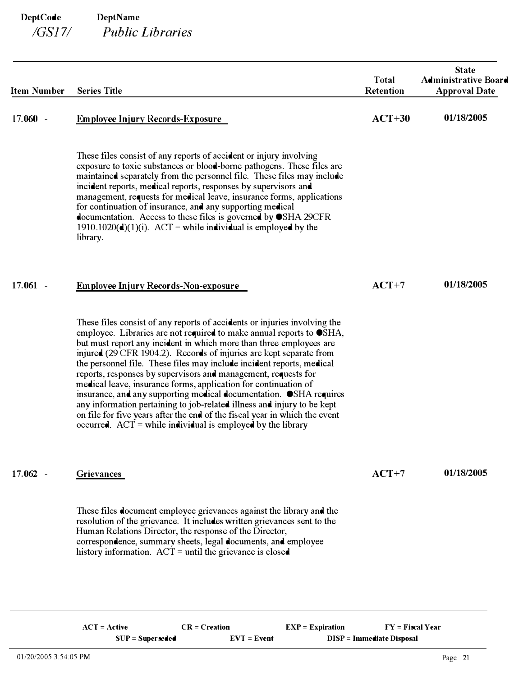| <b>Item Number</b> | <b>Series Title</b>                                                                                                                                                                                                                                                                                                                                                                                                                                                                                                                                                                                                                                                                                                                                                                                           | <b>Total</b><br>Retention | <b>State</b><br><b>Administrative Board</b><br><b>Approval Date</b> |
|--------------------|---------------------------------------------------------------------------------------------------------------------------------------------------------------------------------------------------------------------------------------------------------------------------------------------------------------------------------------------------------------------------------------------------------------------------------------------------------------------------------------------------------------------------------------------------------------------------------------------------------------------------------------------------------------------------------------------------------------------------------------------------------------------------------------------------------------|---------------------------|---------------------------------------------------------------------|
| $17.060 -$         | <b>Employee Injury Records-Exposure</b>                                                                                                                                                                                                                                                                                                                                                                                                                                                                                                                                                                                                                                                                                                                                                                       | $ACT+30$                  | 01/18/2005                                                          |
|                    | These files consist of any reports of accident or injury involving<br>exposure to toxic substances or blood-borne pathogens. These files are<br>maintained separately from the personnel file. These files may include<br>incident reports, medical reports, responses by supervisors and<br>management, requests for medical leave, insurance forms, applications<br>for continuation of insurance, and any supporting medical<br>documentation. Access to these files is governed by OSHA 29CFR<br>1910.1020(d)(1)(i). ACT = while individual is employed by the<br>library.                                                                                                                                                                                                                                |                           |                                                                     |
| $17.061 -$         | <b>Employee Injury Records-Non-exposure</b>                                                                                                                                                                                                                                                                                                                                                                                                                                                                                                                                                                                                                                                                                                                                                                   | $ACT+7$                   | 01/18/2005                                                          |
|                    | These files consist of any reports of accidents or injuries involving the<br>employee. Libraries are not required to make annual reports to OSHA,<br>but must report any incident in which more than three employees are<br>injured (29 CFR 1904.2). Records of injuries are kept separate from<br>the personnel file. These files may include incident reports, medical<br>reports, responses by supervisors and management, requests for<br>medical leave, insurance forms, application for continuation of<br>insurance, and any supporting medical documentation. OSHA requires<br>any information pertaining to job-related illness and injury to be kept<br>on file for five years after the end of the fiscal year in which the event<br>occurred. $ACT = while individual is employed by the library$ |                           |                                                                     |
| $17.062 -$         | <b>Grievances</b>                                                                                                                                                                                                                                                                                                                                                                                                                                                                                                                                                                                                                                                                                                                                                                                             | $ACT+7$                   | 01/18/2005                                                          |
|                    | These files document employee grievances against the library and the<br>resolution of the grievance. It includes written grievances sent to the<br>Human Relations Director, the response of the Director,<br>correspondence, summary sheets, legal documents, and employee<br>history information. $ACT =$ until the grievance is closed                                                                                                                                                                                                                                                                                                                                                                                                                                                                     |                           |                                                                     |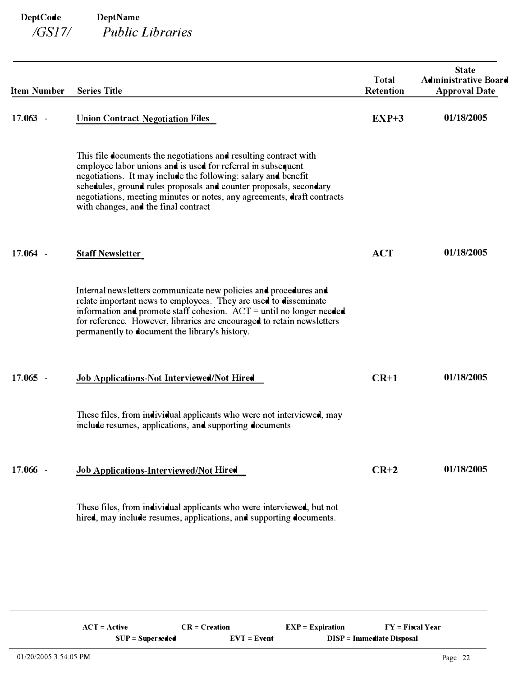| <b>Item Number</b> | <b>Series Title</b>                                                                                                                                                                                                                                                                                                                                                                         | <b>Total</b><br><b>Retention</b> | <b>State</b><br><b>Administrative Board</b><br><b>Approval Date</b> |
|--------------------|---------------------------------------------------------------------------------------------------------------------------------------------------------------------------------------------------------------------------------------------------------------------------------------------------------------------------------------------------------------------------------------------|----------------------------------|---------------------------------------------------------------------|
| $17.063 -$         | <b>Union Contract Negotiation Files</b>                                                                                                                                                                                                                                                                                                                                                     | $EXP+3$                          | 01/18/2005                                                          |
|                    | This file documents the negotiations and resulting contract with<br>employee labor unions and is used for referral in subsequent<br>negotiations. It may include the following: salary and benefit<br>schedules, ground rules proposals and counter proposals, secondary<br>negotiations, meeting minutes or notes, any agreements, draft contracts<br>with changes, and the final contract |                                  |                                                                     |
| $17.064 -$         | <b>Staff Newsletter</b>                                                                                                                                                                                                                                                                                                                                                                     | <b>ACT</b>                       | 01/18/2005                                                          |
|                    | Internal newsletters communicate new policies and procedures and<br>relate important news to employees. They are used to disseminate<br>information and promote staff cohesion. $ACT = until no longer needed$<br>for reference. However, libraries are encouraged to retain newsletters<br>permanently to document the library's history.                                                  |                                  |                                                                     |
| $17.065 -$         | Job Applications-Not Interviewed/Not Hired                                                                                                                                                                                                                                                                                                                                                  | $CR+1$                           | 01/18/2005                                                          |
|                    | These files, from individual applicants who were not interviewed, may<br>include resumes, applications, and supporting documents                                                                                                                                                                                                                                                            |                                  |                                                                     |
| 17.066 -           | Job Applications-Interviewed/Not Hired                                                                                                                                                                                                                                                                                                                                                      | $CR+2$                           | 01/18/2005                                                          |
|                    | These files, from individual applicants who were interviewed, but not<br>hired, may include resumes, applications, and supporting documents.                                                                                                                                                                                                                                                |                                  |                                                                     |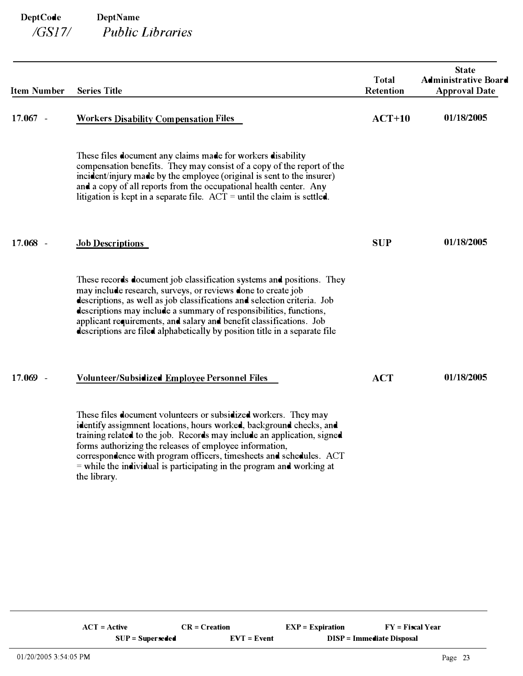| <b>Item Number</b> | <b>Series Title</b>                                                                                                                                                                                                                                                                                                                                                                                                                            | <b>Total</b><br>Retention | <b>State</b><br><b>Administrative Board</b><br><b>Approval Date</b> |
|--------------------|------------------------------------------------------------------------------------------------------------------------------------------------------------------------------------------------------------------------------------------------------------------------------------------------------------------------------------------------------------------------------------------------------------------------------------------------|---------------------------|---------------------------------------------------------------------|
| $17.067 -$         | <b>Workers Disability Compensation Files</b>                                                                                                                                                                                                                                                                                                                                                                                                   | $ACT+10$                  | 01/18/2005                                                          |
|                    | These files document any claims made for workers disability<br>compensation benefits. They may consist of a copy of the report of the<br>incident/injury made by the employee (original is sent to the insurer)<br>and a copy of all reports from the occupational health center. Any<br>litigation is kept in a separate file. $ACT =$ until the claim is settled.                                                                            |                           |                                                                     |
| $17.068 -$         | <b>Job Descriptions</b>                                                                                                                                                                                                                                                                                                                                                                                                                        | <b>SUP</b>                | 01/18/2005                                                          |
|                    | These records document job classification systems and positions. They<br>may include research, surveys, or reviews done to create job<br>descriptions, as well as job classifications and selection criteria. Job<br>descriptions may include a summary of responsibilities, functions,<br>applicant requirements, and salary and benefit classifications. Job<br>descriptions are filed alphabetically by position title in a separate file   |                           |                                                                     |
| 17.069 -           | <b>Volunteer/Subsidized Employee Personnel Files</b>                                                                                                                                                                                                                                                                                                                                                                                           | <b>ACT</b>                | 01/18/2005                                                          |
|                    | These files document volunteers or subsidized workers. They may<br>identify assigmment locations, hours worked, background checks, and<br>training related to the job. Records may include an application, signed<br>forms authorizing the releases of employee information,<br>correspondence with program officers, timesheets and schedules. ACT<br>$=$ while the individual is participating in the program and working at<br>the library. |                           |                                                                     |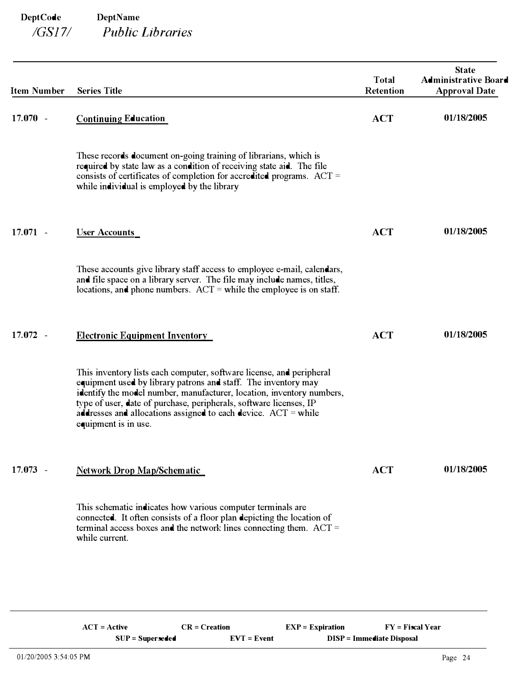| <b>Series Title</b>                                                                                                                                                                                                                                                                                                                                                               | <b>Total</b><br>Retention | <b>State</b><br><b>Administrative Board</b><br><b>Approval Date</b> |
|-----------------------------------------------------------------------------------------------------------------------------------------------------------------------------------------------------------------------------------------------------------------------------------------------------------------------------------------------------------------------------------|---------------------------|---------------------------------------------------------------------|
| <b>Continuing Education</b>                                                                                                                                                                                                                                                                                                                                                       | <b>ACT</b>                | 01/18/2005                                                          |
| These records document on-going training of librarians, which is<br>required by state law as a condition of receiving state aid. The file<br>consists of certificates of completion for accredited programs. ACT =<br>while individual is employed by the library                                                                                                                 |                           |                                                                     |
| <b>User Accounts</b>                                                                                                                                                                                                                                                                                                                                                              | <b>ACT</b>                | 01/18/2005                                                          |
| These accounts give library staff access to employee e-mail, calendars,<br>and file space on a library server. The file may include names, titles,<br>locations, and phone numbers. $ACT = while the employee is on staff.$                                                                                                                                                       |                           |                                                                     |
| <b>Electronic Equipment Inventory</b>                                                                                                                                                                                                                                                                                                                                             | <b>ACT</b>                | 01/18/2005                                                          |
| This inventory lists each computer, software license, and peripheral<br>equipment used by library patrons and staff. The inventory may<br>identify the model number, manufacturer, location, inventory numbers,<br>type of user, date of purchase, peripherals, software licenses, IP<br>addresses and allocations assigned to each device. $ACT = while$<br>equipment is in use. |                           |                                                                     |
| <b>Network Drop Map/Schematic</b>                                                                                                                                                                                                                                                                                                                                                 | <b>ACT</b>                | 01/18/2005                                                          |
| This schematic indicates how various computer terminals are<br>connected. It often consists of a floor plan depicting the location of<br>terminal access boxes and the network lines connecting them. ACT =<br>while current.                                                                                                                                                     |                           |                                                                     |
|                                                                                                                                                                                                                                                                                                                                                                                   |                           |                                                                     |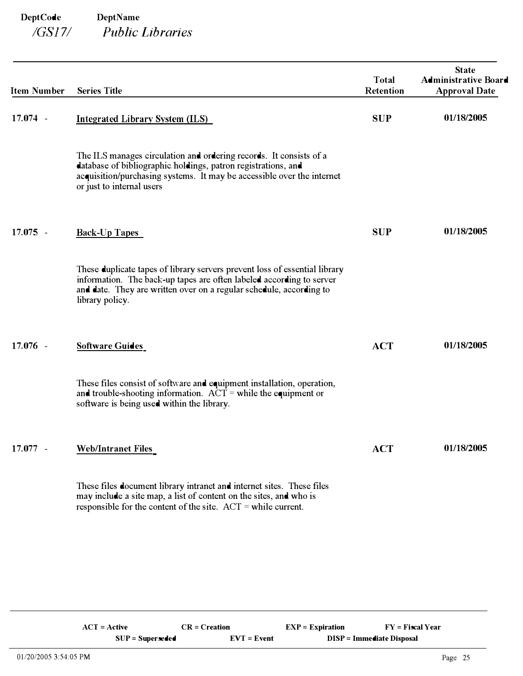| <b>Item Number</b> | <b>Series Title</b>                                                                                                                                                                                                                          | <b>Total</b><br><b>Retention</b> | <b>State</b><br><b>Administrative Board</b><br><b>Approval Date</b> |
|--------------------|----------------------------------------------------------------------------------------------------------------------------------------------------------------------------------------------------------------------------------------------|----------------------------------|---------------------------------------------------------------------|
| $17.074 -$         | <b>Integrated Library System (ILS)</b>                                                                                                                                                                                                       | <b>SUP</b>                       | 01/18/2005                                                          |
|                    | The ILS manages circulation and ordering records. It consists of a<br>database of bibliographic holdings, patron registrations, and<br>acquisition/purchasing systems. It may be accessible over the internet<br>or just to internal users   |                                  |                                                                     |
| $17.075 -$         | <b>Back-Up Tapes</b>                                                                                                                                                                                                                         | <b>SUP</b>                       | 01/18/2005                                                          |
|                    | These duplicate tapes of library servers prevent loss of essential library<br>information. The back-up tapes are often labeled according to server<br>and date. They are written over on a regular schedule, according to<br>library policy. |                                  |                                                                     |
| $17.076 -$         | <b>Software Guides</b>                                                                                                                                                                                                                       | <b>ACT</b>                       | 01/18/2005                                                          |
|                    | These files consist of software and equipment installation, operation,<br>and trouble-shooting information. $\angle ACT =$ while the equipment or<br>software is being used within the library.                                              |                                  |                                                                     |
| $17.077 -$         | <b>Web/Intranet Files</b>                                                                                                                                                                                                                    | <b>ACT</b>                       | 01/18/2005                                                          |
|                    | These files document library intranet and internet sites. These files<br>may include a site map, a list of content on the sites, and who is<br>responsible for the content of the site. $ACT = while current$ .                              |                                  |                                                                     |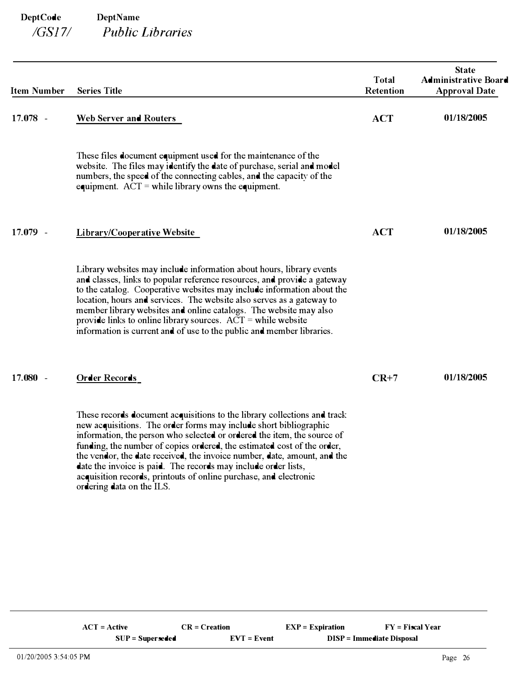| <b>Item Number</b> | <b>Series Title</b>                                                                                                                                                                                                                                                                                                                                                                                                                                                                                                                                 | <b>Total</b><br>Retention | <b>State</b><br><b>Administrative Board</b><br><b>Approval Date</b> |
|--------------------|-----------------------------------------------------------------------------------------------------------------------------------------------------------------------------------------------------------------------------------------------------------------------------------------------------------------------------------------------------------------------------------------------------------------------------------------------------------------------------------------------------------------------------------------------------|---------------------------|---------------------------------------------------------------------|
| $17.078 -$         | Web Server and Routers                                                                                                                                                                                                                                                                                                                                                                                                                                                                                                                              | <b>ACT</b>                | 01/18/2005                                                          |
|                    | These files document equipment used for the maintenance of the<br>website. The files may identify the date of purchase, serial and model<br>numbers, the speed of the connecting cables, and the capacity of the<br>equipment. $ACT = while library owns the equipment.$                                                                                                                                                                                                                                                                            |                           |                                                                     |
| 17.079 -           | Library/Cooperative Website                                                                                                                                                                                                                                                                                                                                                                                                                                                                                                                         | <b>ACT</b>                | 01/18/2005                                                          |
|                    | Library websites may include information about hours, library events<br>and classes, links to popular reference resources, and provide a gateway<br>to the catalog. Cooperative websites may include information about the<br>location, hours and services. The website also serves as a gateway to<br>member library websites and online catalogs. The website may also<br>provide links to online library sources. $ACT = while website$<br>information is current and of use to the public and member libraries.                                 |                           |                                                                     |
| $17.080 -$         | <b>Order Records</b>                                                                                                                                                                                                                                                                                                                                                                                                                                                                                                                                | $CR+7$                    | 01/18/2005                                                          |
|                    | These records document acquisitions to the library collections and track<br>new acquisitions. The order forms may include short bibliographic<br>information, the person who selected or ordered the item, the source of<br>funding, the number of copies ordered, the estimated cost of the order,<br>the vendor, the date received, the invoice number, date, amount, and the<br>date the invoice is paid. The records may include order lists,<br>acquisition records, printouts of online purchase, and electronic<br>ordering data on the ILS. |                           |                                                                     |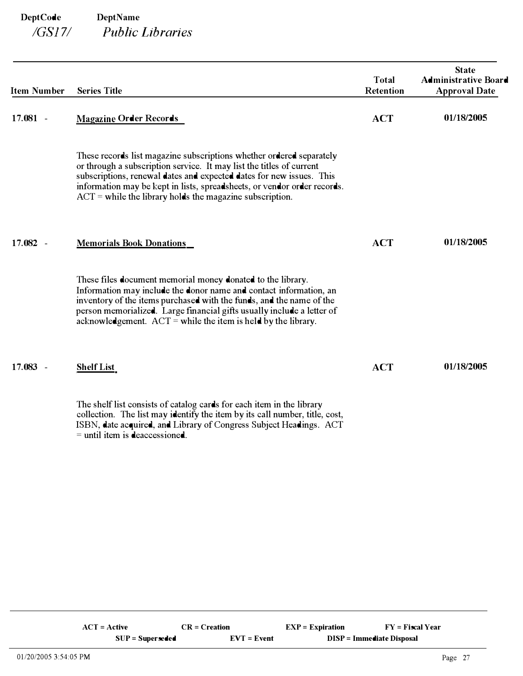| <b>Item Number</b>                 | <b>Series Title</b>                                                                                                                                                                                                                                                                                                                                            | <b>Total</b><br><b>Retention</b> | <b>State</b><br><b>Administrative Board</b><br><b>Approval Date</b> |
|------------------------------------|----------------------------------------------------------------------------------------------------------------------------------------------------------------------------------------------------------------------------------------------------------------------------------------------------------------------------------------------------------------|----------------------------------|---------------------------------------------------------------------|
| $17.081 -$                         | <b>Magazine Order Records</b>                                                                                                                                                                                                                                                                                                                                  | <b>ACT</b>                       | 01/18/2005                                                          |
|                                    | These records list magazine subscriptions whether ordered separately<br>or through a subscription service. It may list the titles of current<br>subscriptions, renewal dates and expected dates for new issues. This<br>information may be kept in lists, spreadsheets, or vendor order records.<br>$ACT =$ while the library holds the magazine subscription. |                                  |                                                                     |
| 17.082<br>$\overline{\phantom{a}}$ | <b>Memorials Book Donations</b>                                                                                                                                                                                                                                                                                                                                | <b>ACT</b>                       | 01/18/2005                                                          |
|                                    | These files document memorial money donated to the library.<br>Information may include the donor name and contact information, an<br>inventory of the items purchased with the funds, and the name of the<br>person memorialized. Large financial gifts usually include a letter of<br>acknowledgement. $ACT =$ while the item is held by the library.         |                                  |                                                                     |
| 17.083<br>$\overline{\phantom{a}}$ | <b>Shelf List</b>                                                                                                                                                                                                                                                                                                                                              | <b>ACT</b>                       | 01/18/2005                                                          |
|                                    | The shelf list consists of catalog cards for each item in the library<br>collection. The list may identify the item by its call number, title, cost,                                                                                                                                                                                                           |                                  |                                                                     |

ISBN, date acquired, and Library of Congress Subject Headings. ACT

 $=$  until item is deaccessioned.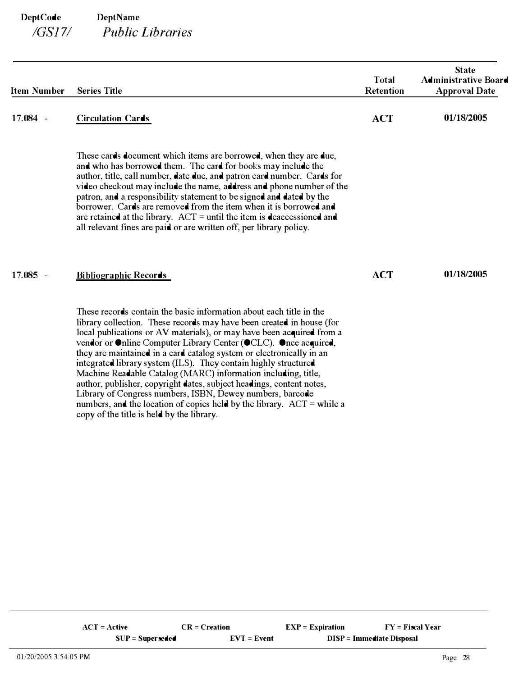| <b>Item Number</b> | <b>Series Title</b>                                                                                                                                                                                                                                                                                                                                                                                                                                                                                                                                                                                                                       | <b>Total</b><br><b>Retention</b> | <b>State</b><br><b>Administrative Board</b><br><b>Approval Date</b> |
|--------------------|-------------------------------------------------------------------------------------------------------------------------------------------------------------------------------------------------------------------------------------------------------------------------------------------------------------------------------------------------------------------------------------------------------------------------------------------------------------------------------------------------------------------------------------------------------------------------------------------------------------------------------------------|----------------------------------|---------------------------------------------------------------------|
| $17.084 -$         | <b>Circulation Cards</b>                                                                                                                                                                                                                                                                                                                                                                                                                                                                                                                                                                                                                  | <b>ACT</b>                       | 01/18/2005                                                          |
|                    | These cards document which items are borrowed, when they are due,<br>and who has borrowed them. The card for books may include the<br>author, title, call number, date due, and patron card number. Cards for<br>video checkout may include the name, address and phone number of the<br>patron, and a responsibility statement to be signed and dated by the<br>borrower. Cards are removed from the item when it is borrowed and<br>are retained at the library. $ACT =$ until the item is deaccessioned and<br>all relevant fines are paid or are written off, per library policy.                                                     |                                  |                                                                     |
| $17.085 -$         | <b>Bibliographic Records</b>                                                                                                                                                                                                                                                                                                                                                                                                                                                                                                                                                                                                              | <b>ACT</b>                       | 01/18/2005                                                          |
|                    | These records contain the basic information about each title in the<br>library collection. These records may have been created in house (for<br>local publications or AV materials), or may have been acquired from a<br>vendor or Online Computer Library Center (OCLC). Once acquired,<br>they are maintained in a card catalog system or electronically in an<br>integrated library system (ILS). They contain highly structured<br>Machine Readable Catalog (MARC) information including, title,<br>author, publisher, copyright dates, subject headings, content notes,<br>Library of Congress numbers, ISBN, Dewey numbers, barcode |                                  |                                                                     |

numbers, and the location of copies held by the library.  $ACT = while a$ 

copy of the title is held by the library.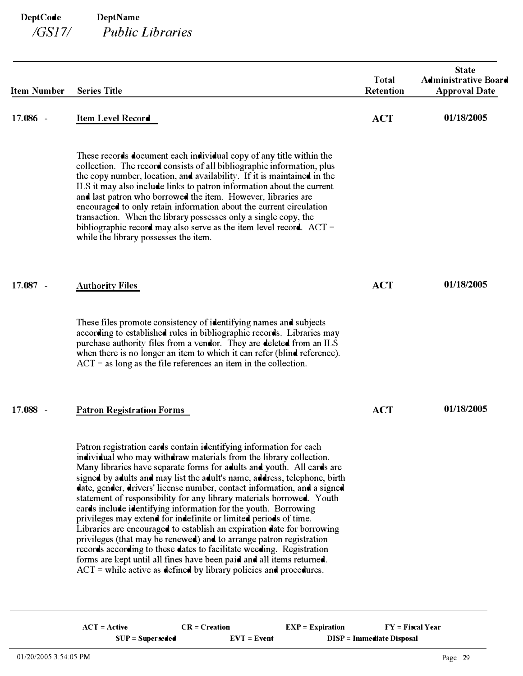| <b>Item Number</b>                 | <b>Series Title</b>                                                                                                                                                                                                                                                                                                                                                                                                                                                                                                                                                                                                                                                                                                                                                                                                                                                                                                                                                 | <b>Total</b><br><b>Retention</b> | <b>State</b><br><b>Administrative Board</b><br><b>Approval Date</b> |
|------------------------------------|---------------------------------------------------------------------------------------------------------------------------------------------------------------------------------------------------------------------------------------------------------------------------------------------------------------------------------------------------------------------------------------------------------------------------------------------------------------------------------------------------------------------------------------------------------------------------------------------------------------------------------------------------------------------------------------------------------------------------------------------------------------------------------------------------------------------------------------------------------------------------------------------------------------------------------------------------------------------|----------------------------------|---------------------------------------------------------------------|
| 17.086 -                           | Item Level Record                                                                                                                                                                                                                                                                                                                                                                                                                                                                                                                                                                                                                                                                                                                                                                                                                                                                                                                                                   | <b>ACT</b>                       | 01/18/2005                                                          |
|                                    | These records document each individual copy of any title within the<br>collection. The record consists of all bibliographic information, plus<br>the copy number, location, and availability. If it is maintained in the<br>ILS it may also include links to patron information about the current<br>and last patron who borrowed the item. However, libraries are<br>encouraged to only retain information about the current circulation<br>transaction. When the library possesses only a single copy, the<br>bibliographic record may also serve as the item level record. $ACT =$<br>while the library possesses the item.                                                                                                                                                                                                                                                                                                                                      |                                  |                                                                     |
| 17.087<br>$\overline{\phantom{a}}$ | <b>Authority Files</b>                                                                                                                                                                                                                                                                                                                                                                                                                                                                                                                                                                                                                                                                                                                                                                                                                                                                                                                                              | <b>ACT</b>                       | 01/18/2005                                                          |
|                                    | These files promote consistency of identifying names and subjects<br>according to established rules in bibliographic records. Libraries may<br>purchase authority files from a vendor. They are deleted from an ILS<br>when there is no longer an item to which it can refer (blind reference).<br>$ACT = as long as the file references an item in the collection.$                                                                                                                                                                                                                                                                                                                                                                                                                                                                                                                                                                                                |                                  |                                                                     |
| 17.088 -                           | <b>Patron Registration Forms</b>                                                                                                                                                                                                                                                                                                                                                                                                                                                                                                                                                                                                                                                                                                                                                                                                                                                                                                                                    | <b>ACT</b>                       | 01/18/2005                                                          |
|                                    | Patron registration cards contain identifying information for each<br>individual who may withdraw materials from the library collection.<br>Many libraries have separate forms for adults and youth. All cards are<br>signed by adults and may list the adult's name, address, telephone, birth<br>date, gender, drivers' license number, contact information, and a signed<br>statement of responsibility for any library materials borrowed. Youth<br>cards include identifying information for the youth. Borrowing<br>privileges may extend for indefinite or limited periods of time.<br>Libraries are encouraged to establish an expiration date for borrowing<br>privileges (that may be renewed) and to arrange patron registration<br>records according to these dates to facilitate weeding. Registration<br>forms are kept until all fines have been paid and all items returned.<br>$ACT =$ while active as defined by library policies and procedures. |                                  |                                                                     |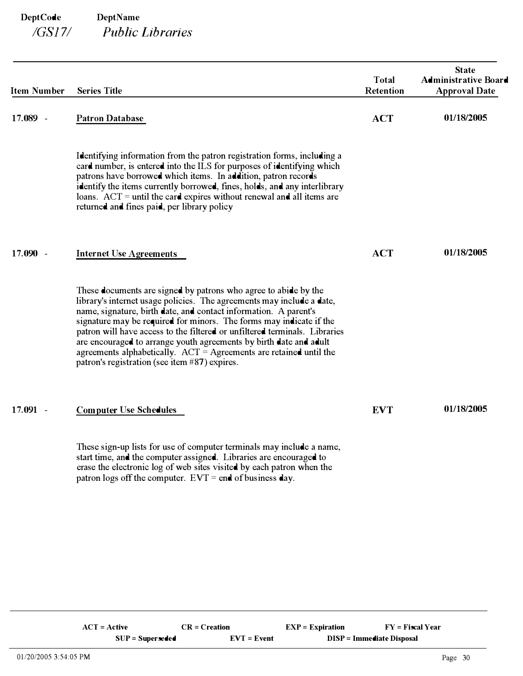| <b>Item Number</b> | <b>Series Title</b>                                                                                                                                                                                                                                                                                                                                                                                                                                                                                                                                              | <b>Total</b><br><b>Retention</b> | <b>State</b><br><b>Administrative Board</b><br><b>Approval Date</b> |
|--------------------|------------------------------------------------------------------------------------------------------------------------------------------------------------------------------------------------------------------------------------------------------------------------------------------------------------------------------------------------------------------------------------------------------------------------------------------------------------------------------------------------------------------------------------------------------------------|----------------------------------|---------------------------------------------------------------------|
| 17.089 -           | <b>Patron Database</b>                                                                                                                                                                                                                                                                                                                                                                                                                                                                                                                                           | <b>ACT</b>                       | 01/18/2005                                                          |
|                    | Identifying information from the patron registration forms, including a<br>card number, is entered into the ILS for purposes of identifying which<br>patrons have borrowed which items. In addition, patron records<br>identify the items currently borrowed, fines, holds, and any interlibrary<br>loans. $ACT = until the card expires without renewal and all items are$<br>returned and fines paid, per library policy                                                                                                                                       |                                  |                                                                     |
| $17.090 -$         | <b>Internet Use Agreements</b>                                                                                                                                                                                                                                                                                                                                                                                                                                                                                                                                   | <b>ACT</b>                       | 01/18/2005                                                          |
|                    | These documents are signed by patrons who agree to abide by the<br>library's internet usage policies. The agreements may include a date,<br>name, signature, birth date, and contact information. A parent's<br>signature may be required for minors. The forms may indicate if the<br>patron will have access to the filtered or unfiltered terminals. Libraries<br>are encouraged to arrange youth agreements by birth date and adult<br>agreements alphabetically. $ACT = Agreenents$ are retained until the<br>patron's registration (see item #87) expires. |                                  |                                                                     |
| $17.091 -$         | <b>Computer Use Schedules</b>                                                                                                                                                                                                                                                                                                                                                                                                                                                                                                                                    | <b>EVT</b>                       | 01/18/2005                                                          |
|                    | These sign-up lists for use of computer terminals may include a name,<br>start time, and the computer assigned. Libraries are encouraged to<br>erase the electronic log of web sites visited by each patron when the<br>patron logs off the computer. $EVT = end$ of business day.                                                                                                                                                                                                                                                                               |                                  |                                                                     |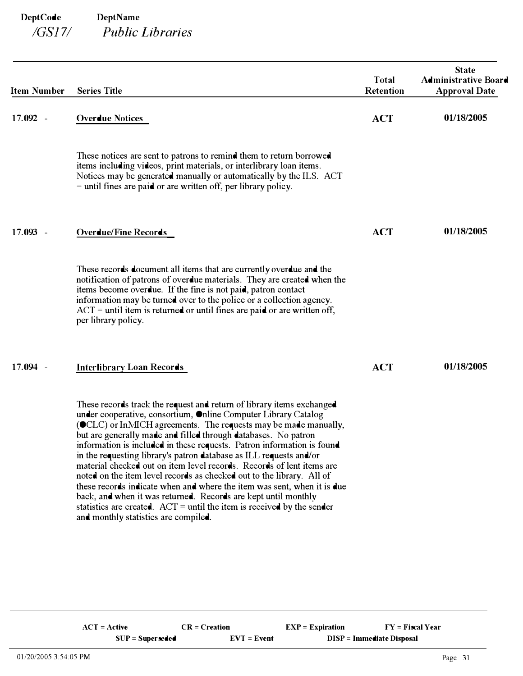| <b>Item Number</b> | <b>Series Title</b>                                                                                                                                                                                                                                                                                                                                                                                                                                                                                                                                                                                                                                                                                                                                                                                                                             | <b>Total</b><br>Retention | <b>State</b><br><b>Administrative Board</b><br><b>Approval Date</b> |
|--------------------|-------------------------------------------------------------------------------------------------------------------------------------------------------------------------------------------------------------------------------------------------------------------------------------------------------------------------------------------------------------------------------------------------------------------------------------------------------------------------------------------------------------------------------------------------------------------------------------------------------------------------------------------------------------------------------------------------------------------------------------------------------------------------------------------------------------------------------------------------|---------------------------|---------------------------------------------------------------------|
| 17.092 -           | <b>Overdue Notices</b>                                                                                                                                                                                                                                                                                                                                                                                                                                                                                                                                                                                                                                                                                                                                                                                                                          | <b>ACT</b>                | 01/18/2005                                                          |
|                    | These notices are sent to patrons to remind them to return borrowed<br>items including videos, print materials, or interlibrary loan items.<br>Notices may be generated manually or automatically by the ILS. ACT<br>$=$ until fines are paid or are written off, per library policy.                                                                                                                                                                                                                                                                                                                                                                                                                                                                                                                                                           |                           |                                                                     |
| $17.093 -$         | <b>Overdue/Fine Records</b>                                                                                                                                                                                                                                                                                                                                                                                                                                                                                                                                                                                                                                                                                                                                                                                                                     | <b>ACT</b>                | 01/18/2005                                                          |
|                    | These records document all items that are currently overdue and the<br>notification of patrons of overdue materials. They are created when the<br>items become overdue. If the fine is not paid, patron contact<br>information may be turned over to the police or a collection agency.<br>$ACT =$ until item is returned or until fines are paid or are written off,<br>per library policy.                                                                                                                                                                                                                                                                                                                                                                                                                                                    |                           |                                                                     |
| $17.094 -$         | <b>Interlibrary Loan Records</b>                                                                                                                                                                                                                                                                                                                                                                                                                                                                                                                                                                                                                                                                                                                                                                                                                | <b>ACT</b>                | 01/18/2005                                                          |
|                    | These records track the request and return of library items exchanged<br>under cooperative, consortium, Online Computer Library Catalog<br>(OCLC) or InMICH agreements. The requests may be made manually,<br>but are generally made and filled through databases. No patron<br>information is included in these requests. Patron information is found<br>in the requesting library's patron database as ILL requests and/or<br>material checked out on item level records. Records of lent items are<br>noted on the item level records as checked out to the library. All of<br>these records indicate when and where the item was sent, when it is due<br>back, and when it was returned. Records are kept until monthly<br>statistics are created. $ACT = until the item is received by the sender$<br>and monthly statistics are compiled. |                           |                                                                     |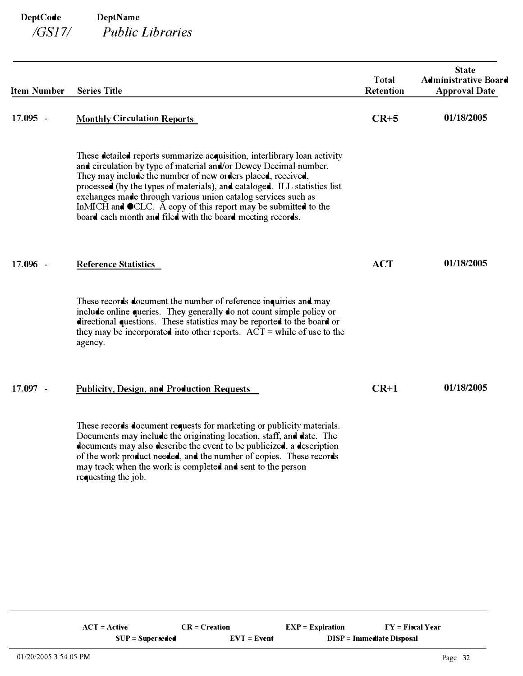| <b>Item Number</b> | <b>Series Title</b>                                                                                                                                                                                                                                                                                                                                                                                                                                                                       | <b>Total</b><br>Retention | <b>State</b><br><b>Administrative Board</b><br><b>Approval Date</b> |
|--------------------|-------------------------------------------------------------------------------------------------------------------------------------------------------------------------------------------------------------------------------------------------------------------------------------------------------------------------------------------------------------------------------------------------------------------------------------------------------------------------------------------|---------------------------|---------------------------------------------------------------------|
| $17.095 -$         | <b>Monthly Circulation Reports</b>                                                                                                                                                                                                                                                                                                                                                                                                                                                        | $CR+5$                    | 01/18/2005                                                          |
|                    | These detailed reports summarize acquisition, interlibrary loan activity<br>and circulation by type of material and/or Dewey Decimal number.<br>They may include the number of new orders placed, received,<br>processed (by the types of materials), and cataloged. ILL statistics list<br>exchanges made through various union catalog services such as<br>InMICH and OCLC. A copy of this report may be submitted to the<br>board each month and filed with the board meeting records. |                           |                                                                     |
| 17.096 -           | <b>Reference Statistics</b>                                                                                                                                                                                                                                                                                                                                                                                                                                                               | <b>ACT</b>                | 01/18/2005                                                          |
|                    | These records document the number of reference inquiries and may<br>include online queries. They generally do not count simple policy or<br>directional questions. These statistics may be reported to the board or<br>they may be incorporated into other reports. $ACT = while of use to the$<br>agency.                                                                                                                                                                                |                           |                                                                     |
| 17.097 -           | <b>Publicity, Design, and Production Requests</b>                                                                                                                                                                                                                                                                                                                                                                                                                                         | $CR+1$                    | 01/18/2005                                                          |
|                    | These records document requests for marketing or publicity materials.<br>Documents may include the originating location, staff, and date. The<br>documents may also describe the event to be publicized, a description<br>of the work product needed, and the number of copies. These records<br>may track when the work is completed and sent to the person<br>requesting the job.                                                                                                       |                           |                                                                     |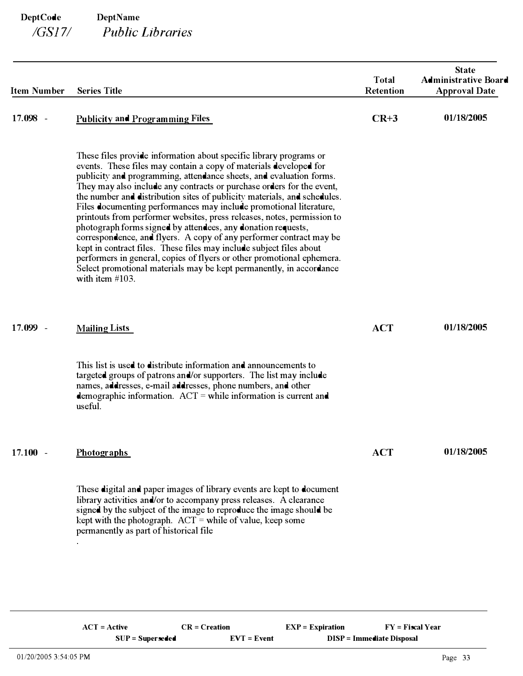| <b>Item Number</b> | <b>Series Title</b>                                                                                                                                                                                                                                                                                                                                                                                                                                                                                                                                                                                                                                                                                                                                                                                                                                                                                       | <b>Total</b><br><b>Retention</b> | <b>State</b><br><b>Administrative Board</b><br><b>Approval Date</b> |
|--------------------|-----------------------------------------------------------------------------------------------------------------------------------------------------------------------------------------------------------------------------------------------------------------------------------------------------------------------------------------------------------------------------------------------------------------------------------------------------------------------------------------------------------------------------------------------------------------------------------------------------------------------------------------------------------------------------------------------------------------------------------------------------------------------------------------------------------------------------------------------------------------------------------------------------------|----------------------------------|---------------------------------------------------------------------|
| 17.098 -           | <b>Publicity and Programming Files</b>                                                                                                                                                                                                                                                                                                                                                                                                                                                                                                                                                                                                                                                                                                                                                                                                                                                                    | $CR+3$                           | 01/18/2005                                                          |
|                    | These files provide information about specific library programs or<br>events. These files may contain a copy of materials developed for<br>publicity and programming, attendance sheets, and evaluation forms.<br>They may also include any contracts or purchase orders for the event,<br>the number and distribution sites of publicity materials, and schedules.<br>Files documenting performances may include promotional literature,<br>printouts from performer websites, press releases, notes, permission to<br>photograph forms signed by attendees, any donation requests,<br>correspondence, and flyers. A copy of any performer contract may be<br>kept in contract files. These files may include subject files about<br>performers in general, copies of flyers or other promotional ephemera.<br>Select promotional materials may be kept permanently, in accordance<br>with item $#103$ . |                                  |                                                                     |
| 17.099 -           | <b>Mailing Lists</b>                                                                                                                                                                                                                                                                                                                                                                                                                                                                                                                                                                                                                                                                                                                                                                                                                                                                                      | <b>ACT</b>                       | 01/18/2005                                                          |
|                    | This list is used to distribute information and announcements to<br>targeted groups of patrons and/or supporters. The list may include<br>names, addresses, e-mail addresses, phone numbers, and other<br>demographic information. $ACT = while information is current and$<br>useful.                                                                                                                                                                                                                                                                                                                                                                                                                                                                                                                                                                                                                    |                                  |                                                                     |
| $17.100 -$         | <b>Photographs</b>                                                                                                                                                                                                                                                                                                                                                                                                                                                                                                                                                                                                                                                                                                                                                                                                                                                                                        | <b>ACT</b>                       | 01/18/2005                                                          |
|                    | These digital and paper images of library events are kept to document<br>library activities and/or to accompany press releases. A clearance<br>signed by the subject of the image to reproduce the image should be<br>kept with the photograph. $ACT =$ while of value, keep some<br>permanently as part of historical file                                                                                                                                                                                                                                                                                                                                                                                                                                                                                                                                                                               |                                  |                                                                     |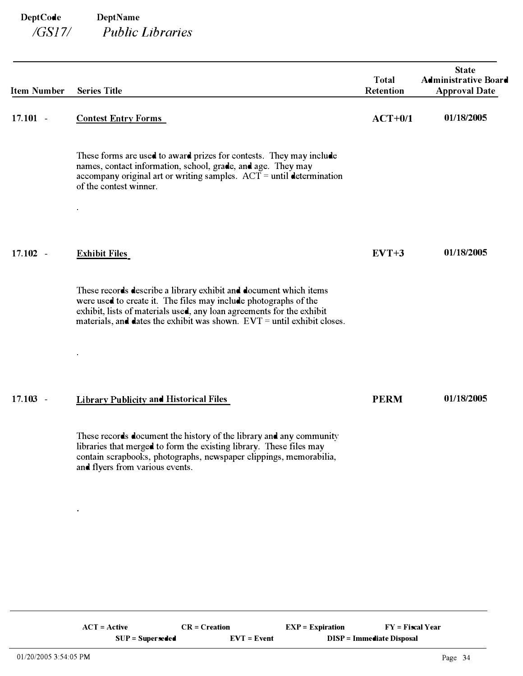| <b>Item Number</b> | <b>Series Title</b>                                                                                                                                                                                                                                                                         | <b>Total</b><br><b>Retention</b> | <b>State</b><br><b>Administrative Board</b><br><b>Approval Date</b> |
|--------------------|---------------------------------------------------------------------------------------------------------------------------------------------------------------------------------------------------------------------------------------------------------------------------------------------|----------------------------------|---------------------------------------------------------------------|
| $17.101 -$         | <b>Contest Entry Forms</b>                                                                                                                                                                                                                                                                  | $ACT+0/1$                        | 01/18/2005                                                          |
|                    | These forms are used to award prizes for contests. They may include<br>names, contact information, school, grade, and age. They may<br>accompany original art or writing samples. $ACT = until$ determination<br>of the contest winner.                                                     |                                  |                                                                     |
| $17.102 -$         | <b>Exhibit Files</b>                                                                                                                                                                                                                                                                        | $EVT+3$                          | 01/18/2005                                                          |
|                    | These records describe a library exhibit and document which items<br>were used to create it. The files may include photographs of the<br>exhibit, lists of materials used, any loan agreements for the exhibit<br>materials, and dates the exhibit was shown. $EVT =$ until exhibit closes. |                                  |                                                                     |
|                    |                                                                                                                                                                                                                                                                                             |                                  |                                                                     |
| $17.103 -$         | <b>Library Publicity and Historical Files</b>                                                                                                                                                                                                                                               | <b>PERM</b>                      | 01/18/2005                                                          |
|                    | These records document the history of the library and any community<br>libraries that merged to form the existing library. These files may<br>contain scrapbooks, photographs, newspaper clippings, memorabilia,<br>and flyers from various events.                                         |                                  |                                                                     |

ä,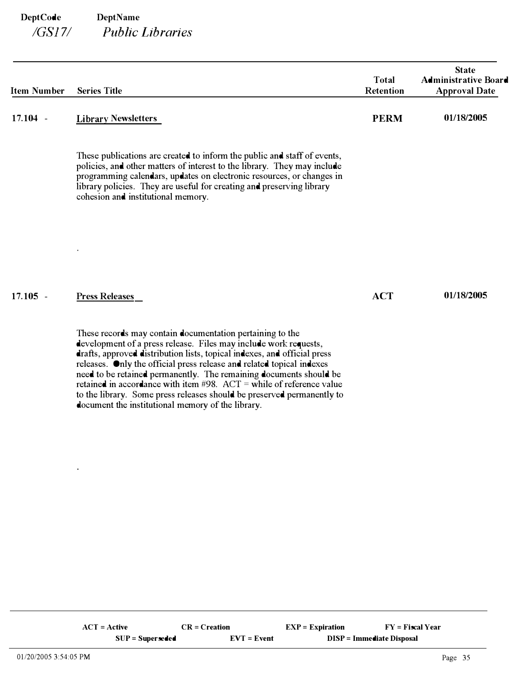| <b>Item Number</b> | <b>Series Title</b>                                                                                                                                                                                                                                                                                                                                                                                                                                                                                                                                                 | <b>Total</b><br><b>Retention</b> | <b>State</b><br><b>Administrative Board</b><br><b>Approval Date</b> |
|--------------------|---------------------------------------------------------------------------------------------------------------------------------------------------------------------------------------------------------------------------------------------------------------------------------------------------------------------------------------------------------------------------------------------------------------------------------------------------------------------------------------------------------------------------------------------------------------------|----------------------------------|---------------------------------------------------------------------|
| $17.104 -$         | <b>Library Newsletters</b>                                                                                                                                                                                                                                                                                                                                                                                                                                                                                                                                          | <b>PERM</b>                      | 01/18/2005                                                          |
|                    | These publications are created to inform the public and staff of events,<br>policies, and other matters of interest to the library. They may include<br>programming calendars, updates on electronic resources, or changes in<br>library policies. They are useful for creating and preserving library<br>cohesion and institutional memory.                                                                                                                                                                                                                        |                                  |                                                                     |
|                    |                                                                                                                                                                                                                                                                                                                                                                                                                                                                                                                                                                     |                                  |                                                                     |
| $17.105 -$         | <b>Press Releases</b>                                                                                                                                                                                                                                                                                                                                                                                                                                                                                                                                               | <b>ACT</b>                       | 01/18/2005                                                          |
|                    | These records may contain documentation pertaining to the<br>development of a press release. Files may include work requests,<br>drafts, approved distribution lists, topical indexes, and official press<br>releases. Only the official press release and related topical indexes<br>need to be retained permanently. The remaining documents should be<br>retained in accordance with item $\#98$ . ACT = while of reference value<br>to the library. Some press releases should be preserved permanently to<br>document the institutional memory of the library. |                                  |                                                                     |

 $\blacksquare$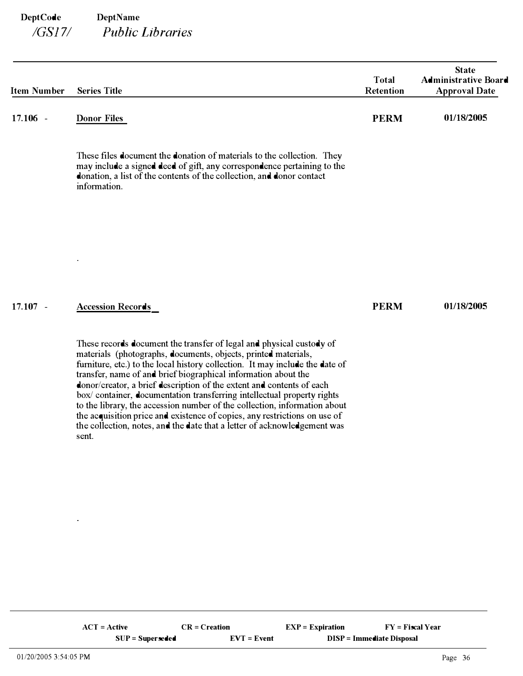| <b>Item Number</b> | <b>Series Title</b>                                                                                                                                                                                                                                                                                                                                                                                                                                                                                                                                                                                                                                                                         | <b>Total</b><br>Retention | <b>State</b><br><b>Administrative Board</b><br><b>Approval Date</b> |
|--------------------|---------------------------------------------------------------------------------------------------------------------------------------------------------------------------------------------------------------------------------------------------------------------------------------------------------------------------------------------------------------------------------------------------------------------------------------------------------------------------------------------------------------------------------------------------------------------------------------------------------------------------------------------------------------------------------------------|---------------------------|---------------------------------------------------------------------|
| $17.106 -$         | <b>Donor Files</b>                                                                                                                                                                                                                                                                                                                                                                                                                                                                                                                                                                                                                                                                          | <b>PERM</b>               | 01/18/2005                                                          |
|                    | These files document the donation of materials to the collection. They<br>may include a signed deed of gift, any correspondence pertaining to the<br>donation, a list of the contents of the collection, and donor contact<br>information.                                                                                                                                                                                                                                                                                                                                                                                                                                                  |                           |                                                                     |
|                    |                                                                                                                                                                                                                                                                                                                                                                                                                                                                                                                                                                                                                                                                                             |                           |                                                                     |
|                    |                                                                                                                                                                                                                                                                                                                                                                                                                                                                                                                                                                                                                                                                                             |                           |                                                                     |
| $17.107 -$         | <b>Accession Records</b>                                                                                                                                                                                                                                                                                                                                                                                                                                                                                                                                                                                                                                                                    | <b>PERM</b>               | 01/18/2005                                                          |
|                    | These records document the transfer of legal and physical custody of<br>materials (photographs, documents, objects, printed materials,<br>furniture, etc.) to the local history collection. It may include the date of<br>transfer, name of and brief biographical information about the<br>donor/creator, a brief description of the extent and contents of each<br>box/ container, documentation transferring intellectual property rights<br>to the library, the accession number of the collection, information about<br>the acquisition price and existence of copies, any restrictions on use of<br>the collection, notes, and the date that a letter of acknowledgement was<br>sent. |                           |                                                                     |
|                    |                                                                                                                                                                                                                                                                                                                                                                                                                                                                                                                                                                                                                                                                                             |                           |                                                                     |
|                    |                                                                                                                                                                                                                                                                                                                                                                                                                                                                                                                                                                                                                                                                                             |                           |                                                                     |
|                    |                                                                                                                                                                                                                                                                                                                                                                                                                                                                                                                                                                                                                                                                                             |                           |                                                                     |
|                    |                                                                                                                                                                                                                                                                                                                                                                                                                                                                                                                                                                                                                                                                                             |                           |                                                                     |
|                    |                                                                                                                                                                                                                                                                                                                                                                                                                                                                                                                                                                                                                                                                                             |                           |                                                                     |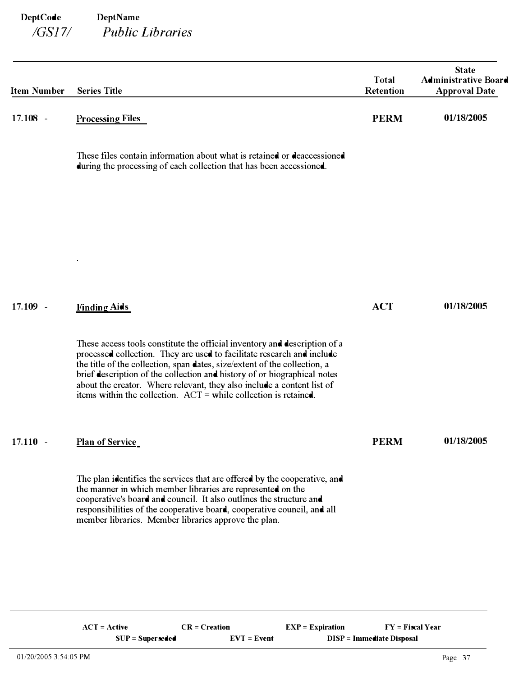| <b>Item Number</b> | <b>Series Title</b>                                                                                                                                                                                                                                                                                                                                                                                                                                          | <b>Total</b><br>Retention | <b>State</b><br><b>Administrative Board</b><br><b>Approval Date</b> |
|--------------------|--------------------------------------------------------------------------------------------------------------------------------------------------------------------------------------------------------------------------------------------------------------------------------------------------------------------------------------------------------------------------------------------------------------------------------------------------------------|---------------------------|---------------------------------------------------------------------|
| $17.108 -$         | <b>Processing Files</b>                                                                                                                                                                                                                                                                                                                                                                                                                                      | <b>PERM</b>               | 01/18/2005                                                          |
|                    | These files contain information about what is retained or deaccessioned<br>during the processing of each collection that has been accessioned.                                                                                                                                                                                                                                                                                                               |                           |                                                                     |
|                    |                                                                                                                                                                                                                                                                                                                                                                                                                                                              |                           |                                                                     |
|                    |                                                                                                                                                                                                                                                                                                                                                                                                                                                              |                           |                                                                     |
| $17.109 -$         | <b>Finding Aids</b>                                                                                                                                                                                                                                                                                                                                                                                                                                          | <b>ACT</b>                | 01/18/2005                                                          |
|                    | These access tools constitute the official inventory and description of a<br>processed collection. They are used to facilitate research and include<br>the title of the collection, span dates, size/extent of the collection, a<br>brief description of the collection and history of or biographical notes<br>about the creator. Where relevant, they also include a content list of<br>items within the collection. $ACT = while collection is retained.$ |                           |                                                                     |
| $17.110 -$         | <b>Plan of Service</b>                                                                                                                                                                                                                                                                                                                                                                                                                                       | <b>PERM</b>               | 01/18/2005                                                          |
|                    | The plan identifies the services that are offered by the cooperative, and<br>the manner in which member libraries are represented on the<br>cooperative's board and council. It also outlines the structure and<br>responsibilities of the cooperative board, cooperative council, and all<br>member libraries. Member libraries approve the plan.                                                                                                           |                           |                                                                     |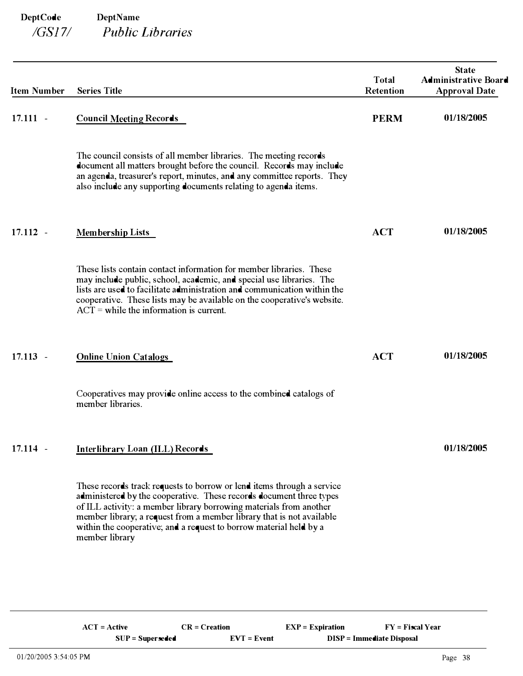| <b>Item Number</b> | <b>Series Title</b>                                                                                                                                                                                                                                                                                                                                                                  | Total<br>Retention | <b>State</b><br><b>Administrative Board</b><br><b>Approval Date</b> |
|--------------------|--------------------------------------------------------------------------------------------------------------------------------------------------------------------------------------------------------------------------------------------------------------------------------------------------------------------------------------------------------------------------------------|--------------------|---------------------------------------------------------------------|
| $17.111 -$         | <b>Council Meeting Records</b>                                                                                                                                                                                                                                                                                                                                                       | <b>PERM</b>        | 01/18/2005                                                          |
|                    | The council consists of all member libraries. The meeting records<br>document all matters brought before the council. Records may include<br>an agenda, treasurer's report, minutes, and any committee reports. They<br>also include any supporting documents relating to agenda items.                                                                                              |                    |                                                                     |
| $17.112 -$         | <b>Membership Lists</b>                                                                                                                                                                                                                                                                                                                                                              | <b>ACT</b>         | 01/18/2005                                                          |
|                    | These lists contain contact information for member libraries. These<br>may include public, school, academic, and special use libraries. The<br>lists are used to facilitate administration and communication within the<br>cooperative. These lists may be available on the cooperative's website.<br>$ACT =$ while the information is current.                                      |                    |                                                                     |
| $17.113 -$         | <b>Online Union Catalogs</b>                                                                                                                                                                                                                                                                                                                                                         | <b>ACT</b>         | 01/18/2005                                                          |
|                    | Cooperatives may provide online access to the combined catalogs of<br>member libraries.                                                                                                                                                                                                                                                                                              |                    |                                                                     |
| $17.114 -$         | Interlibrary Loan (ILL) Records                                                                                                                                                                                                                                                                                                                                                      |                    | 01/18/2005                                                          |
|                    | These records track requests to borrow or lend items through a service<br>administered by the cooperative. These records document three types<br>of ILL activity: a member library borrowing materials from another<br>member library; a request from a member library that is not available<br>within the cooperative; and a request to borrow material held by a<br>member library |                    |                                                                     |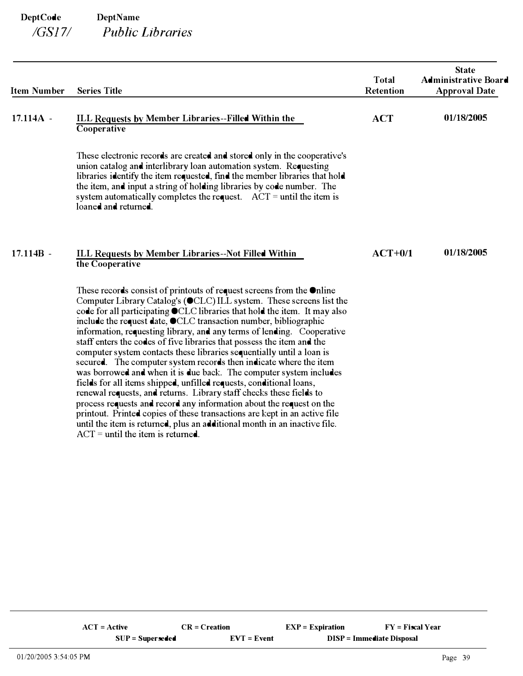| <b>Item Number</b> | <b>Series Title</b>                                                                                                                                                                                                                                                                                                                                                                                                                                                                                                                                                                                                                                                                                                                                                                                                                                                                                                                                                                                                                                                                                    | <b>Total</b><br><b>Retention</b> | <b>State</b><br><b>Administrative Board</b><br><b>Approval Date</b> |
|--------------------|--------------------------------------------------------------------------------------------------------------------------------------------------------------------------------------------------------------------------------------------------------------------------------------------------------------------------------------------------------------------------------------------------------------------------------------------------------------------------------------------------------------------------------------------------------------------------------------------------------------------------------------------------------------------------------------------------------------------------------------------------------------------------------------------------------------------------------------------------------------------------------------------------------------------------------------------------------------------------------------------------------------------------------------------------------------------------------------------------------|----------------------------------|---------------------------------------------------------------------|
| $17.114A -$        | ILL Requests by Member Libraries--Filled Within the<br>Cooperative                                                                                                                                                                                                                                                                                                                                                                                                                                                                                                                                                                                                                                                                                                                                                                                                                                                                                                                                                                                                                                     | <b>ACT</b>                       | 01/18/2005                                                          |
|                    | These electronic records are created and stored only in the cooperative's<br>union catalog and interlibrary loan automation system. Requesting<br>libraries identify the item requested, find the member libraries that hold<br>the item, and input a string of holding libraries by code number. The<br>system automatically completes the request. $ACT = until the item is$<br>loaned and returned.                                                                                                                                                                                                                                                                                                                                                                                                                                                                                                                                                                                                                                                                                                 |                                  |                                                                     |
| $17.114B -$        | ILL Requests by Member Libraries--Not Filled Within<br>the Cooperative                                                                                                                                                                                                                                                                                                                                                                                                                                                                                                                                                                                                                                                                                                                                                                                                                                                                                                                                                                                                                                 | $ACT+0/1$                        | 01/18/2005                                                          |
|                    | These records consist of printouts of request screens from the $\bullet$ nline<br>Computer Library Catalog's (OCLC) ILL system. These screens list the<br>code for all participating OCLC libraries that hold the item. It may also<br>include the request date, OCLC transaction number, bibliographic<br>information, requesting library, and any terms of lending. Cooperative<br>staff enters the codes of five libraries that possess the item and the<br>computer system contacts these libraries sequentially until a loan is<br>secured. The computer system records then indicate where the item<br>was borrowed and when it is due back. The computer system includes<br>fields for all items shipped, unfilled requests, conditional loans,<br>renewal requests, and returns. Library staff checks these fields to<br>process requests and record any information about the request on the<br>printout. Printed copies of these transactions are kept in an active file<br>until the item is returned, plus an additional month in an inactive file.<br>$ACT = until the item is returned.$ |                                  |                                                                     |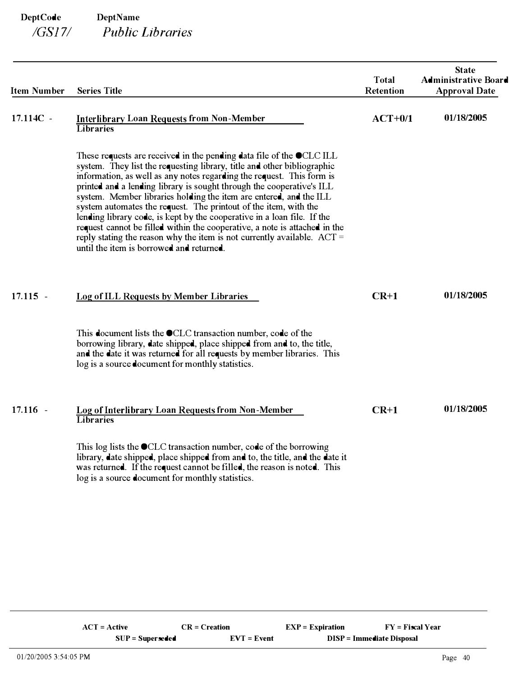| <b>Item Number</b> | <b>Series Title</b>                                                                                                                                                                                                                                                                                                                                                                                                                                                                                                                                                                                                                                                                                                                    | <b>Total</b><br>Retention | <b>State</b><br><b>Administrative Board</b><br><b>Approval Date</b> |
|--------------------|----------------------------------------------------------------------------------------------------------------------------------------------------------------------------------------------------------------------------------------------------------------------------------------------------------------------------------------------------------------------------------------------------------------------------------------------------------------------------------------------------------------------------------------------------------------------------------------------------------------------------------------------------------------------------------------------------------------------------------------|---------------------------|---------------------------------------------------------------------|
| 17.114C -          | <b>Interlibrary Loan Requests from Non-Member</b><br><b>Libraries</b>                                                                                                                                                                                                                                                                                                                                                                                                                                                                                                                                                                                                                                                                  | $ACT+0/1$                 | 01/18/2005                                                          |
|                    | These requests are received in the pending data file of the $\bullet$ CLC ILL<br>system. They list the requesting library, title and other bibliographic<br>information, as well as any notes regarding the request. This form is<br>printed and a lending library is sought through the cooperative's ILL<br>system. Member libraries holding the item are entered, and the ILL<br>system automates the request. The printout of the item, with the<br>lending library code, is kept by the cooperative in a loan file. If the<br>request cannot be filled within the cooperative, a note is attached in the<br>reply stating the reason why the item is not currently available. $ACT =$<br>until the item is borrowed and returned. |                           |                                                                     |
| $17.115 -$         | Log of ILL Requests by Member Libraries                                                                                                                                                                                                                                                                                                                                                                                                                                                                                                                                                                                                                                                                                                | $CR+1$                    | 01/18/2005                                                          |
|                    | This document lists the $\bullet$ CLC transaction number, code of the<br>borrowing library, date shipped, place shipped from and to, the title,<br>and the date it was returned for all requests by member libraries. This<br>log is a source document for monthly statistics.                                                                                                                                                                                                                                                                                                                                                                                                                                                         |                           |                                                                     |
| $17.116 -$         | Log of Interlibrary Loan Requests from Non-Member<br><b>Libraries</b>                                                                                                                                                                                                                                                                                                                                                                                                                                                                                                                                                                                                                                                                  | $CR+1$                    | 01/18/2005                                                          |
|                    | This log lists the $\bullet$ CLC transaction number, code of the borrowing<br>library, date shipped, place shipped from and to, the title, and the date it<br>was returned. If the request cannot be filled, the reason is noted. This<br>log is a source document for monthly statistics.                                                                                                                                                                                                                                                                                                                                                                                                                                             |                           |                                                                     |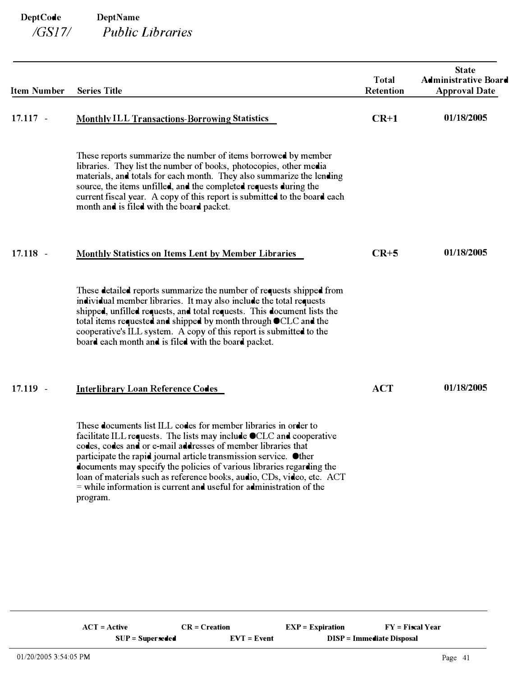| <b>Item Number</b> | <b>Series Title</b>                                                                                                                                                                                                                                                                                                                                                                                                                                                                                                  | <b>Total</b><br>Retention | <b>State</b><br><b>Administrative Board</b><br><b>Approval Date</b> |
|--------------------|----------------------------------------------------------------------------------------------------------------------------------------------------------------------------------------------------------------------------------------------------------------------------------------------------------------------------------------------------------------------------------------------------------------------------------------------------------------------------------------------------------------------|---------------------------|---------------------------------------------------------------------|
| $17.117 -$         | <b>Monthly ILL Transactions-Borrowing Statistics</b>                                                                                                                                                                                                                                                                                                                                                                                                                                                                 | $CR+1$                    | 01/18/2005                                                          |
|                    | These reports summarize the number of items borrowed by member<br>libraries. They list the number of books, photocopies, other media<br>materials, and totals for each month. They also summarize the lending<br>source, the items unfilled, and the completed requests during the<br>current fiscal year. A copy of this report is submitted to the board each<br>month and is filed with the board packet.                                                                                                         |                           |                                                                     |
| $17.118 -$         | Monthly Statistics on Items Lent by Member Libraries                                                                                                                                                                                                                                                                                                                                                                                                                                                                 | $CR+5$                    | 01/18/2005                                                          |
|                    | These detailed reports summarize the number of requests shipped from<br>individual member libraries. It may also include the total requests<br>shipped, unfilled requests, and total requests. This document lists the<br>total items requested and shipped by month through OCLC and the<br>cooperative's ILL system. A copy of this report is submitted to the<br>board each month and is filed with the board packet.                                                                                             |                           |                                                                     |
| $17.119 -$         | <b>Interlibrary Loan Reference Codes</b>                                                                                                                                                                                                                                                                                                                                                                                                                                                                             | <b>ACT</b>                | 01/18/2005                                                          |
|                    | These documents list ILL codes for member libraries in order to<br>facilitate ILL requests. The lists may include OCLC and cooperative<br>codes, codes and or e-mail addresses of member libraries that<br>participate the rapid journal article transmission service. Other<br>documents may specify the policies of various libraries regarding the<br>loan of materials such as reference books, audio, CDs, video, etc. ACT<br>$=$ while information is current and useful for administration of the<br>program. |                           |                                                                     |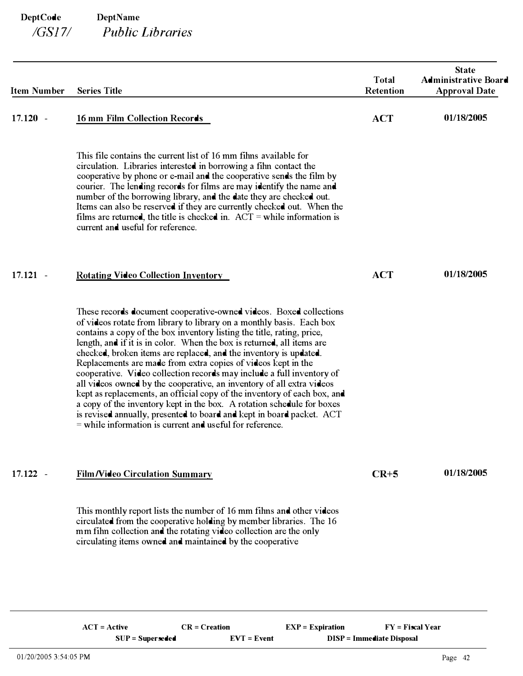| <b>Item Number</b> | <b>Series Title</b>                                                                                                                                                                                                                                                                                                                                                                                                                                                                                                                                                                                                                                                                                                                                                                                                                                                                  | <b>Total</b><br><b>Retention</b> | <b>State</b><br><b>Administrative Board</b><br><b>Approval Date</b> |
|--------------------|--------------------------------------------------------------------------------------------------------------------------------------------------------------------------------------------------------------------------------------------------------------------------------------------------------------------------------------------------------------------------------------------------------------------------------------------------------------------------------------------------------------------------------------------------------------------------------------------------------------------------------------------------------------------------------------------------------------------------------------------------------------------------------------------------------------------------------------------------------------------------------------|----------------------------------|---------------------------------------------------------------------|
| $17.120 -$         | 16 mm Film Collection Records                                                                                                                                                                                                                                                                                                                                                                                                                                                                                                                                                                                                                                                                                                                                                                                                                                                        | <b>ACT</b>                       | 01/18/2005                                                          |
|                    | This file contains the current list of 16 mm films available for<br>circulation. Libraries interested in borrowing a film contact the<br>cooperative by phone or e-mail and the cooperative sends the film by<br>courier. The lending records for films are may identify the name and<br>number of the borrowing library, and the date they are checked out.<br>Items can also be reserved if they are currently checked out. When the<br>films are returned, the title is checked in. $ACT = while information is$<br>current and useful for reference.                                                                                                                                                                                                                                                                                                                             |                                  |                                                                     |
| 17.121<br>$\sim$   | <b>Rotating Video Collection Inventory</b>                                                                                                                                                                                                                                                                                                                                                                                                                                                                                                                                                                                                                                                                                                                                                                                                                                           | <b>ACT</b>                       | 01/18/2005                                                          |
|                    | These records document cooperative-owned videos. Boxed collections<br>of videos rotate from library to library on a monthly basis. Each box<br>contains a copy of the box inventory listing the title, rating, price,<br>length, and if it is in color. When the box is returned, all items are<br>checked, broken items are replaced, and the inventory is updated.<br>Replacements are made from extra copies of videos kept in the<br>cooperative. Video collection records may include a full inventory of<br>all videos owned by the cooperative, an inventory of all extra videos<br>kept as replacements, an official copy of the inventory of each box, and<br>a copy of the inventory kept in the box. A rotation schedule for boxes<br>is revised annually, presented to board and kept in board packet. ACT<br>$=$ while information is current and useful for reference. |                                  |                                                                     |
| $17.122 -$         | <b>Film/Video Circulation Summary</b>                                                                                                                                                                                                                                                                                                                                                                                                                                                                                                                                                                                                                                                                                                                                                                                                                                                | $CR+5$                           | 01/18/2005                                                          |
|                    | This monthly report lists the number of 16 mm films and other videos<br>circulated from the cooperative holding by member libraries. The 16<br>mm fihn collection and the rotating video collection are the only<br>circulating items owned and maintained by the cooperative                                                                                                                                                                                                                                                                                                                                                                                                                                                                                                                                                                                                        |                                  |                                                                     |
|                    |                                                                                                                                                                                                                                                                                                                                                                                                                                                                                                                                                                                                                                                                                                                                                                                                                                                                                      |                                  |                                                                     |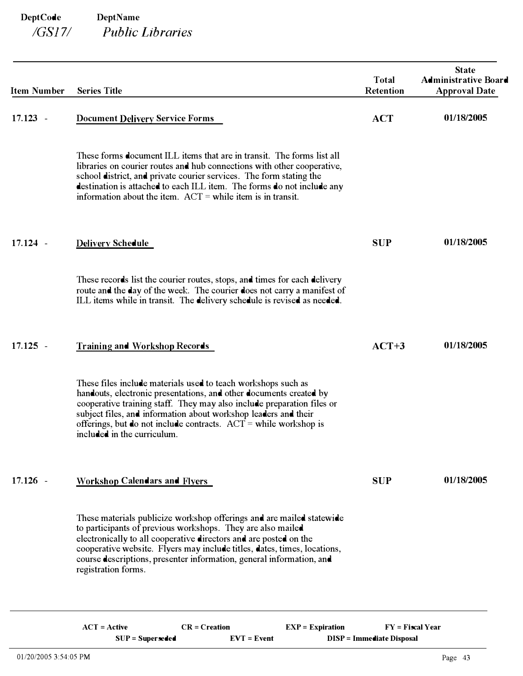| <b>Item Number</b> | <b>Series Title</b>                                                                                                                                                                                                                                                                                                                                                                   | <b>Total</b><br><b>Retention</b> | <b>State</b><br><b>Administrative Board</b><br><b>Approval Date</b> |
|--------------------|---------------------------------------------------------------------------------------------------------------------------------------------------------------------------------------------------------------------------------------------------------------------------------------------------------------------------------------------------------------------------------------|----------------------------------|---------------------------------------------------------------------|
| $17.123 -$         | <b>Document Delivery Service Forms</b>                                                                                                                                                                                                                                                                                                                                                | <b>ACT</b>                       | 01/18/2005                                                          |
|                    | These forms <b>document</b> ILL items that are in transit. The forms list all<br>libraries on courier routes and hub connections with other cooperative,<br>school district, and private courier services. The form stating the<br>destination is attached to each ILL item. The forms do not include any<br>information about the item. $ACT = while$ item is in transit.            |                                  |                                                                     |
| $17.124 -$         | <b>Delivery Schedule</b>                                                                                                                                                                                                                                                                                                                                                              | <b>SUP</b>                       | 01/18/2005                                                          |
|                    | These records list the courier routes, stops, and times for each delivery<br>route and the day of the week. The courier does not carry a manifest of<br>ILL items while in transit. The delivery schedule is revised as needed.                                                                                                                                                       |                                  |                                                                     |
| $17.125 -$         | Training and Workshop Records                                                                                                                                                                                                                                                                                                                                                         | $ACT+3$                          | 01/18/2005                                                          |
|                    | These files include materials used to teach workshops such as<br>handouts, electronic presentations, and other documents created by<br>cooperative training staff. They may also include preparation files or<br>subject files, and information about workshop leaders and their<br>offerings, but do not include contracts. $ACT = while workshop is$<br>included in the curriculum. |                                  |                                                                     |
| $17.126 -$         | <b>Workshop Calendars and Flyers</b>                                                                                                                                                                                                                                                                                                                                                  | <b>SUP</b>                       | 01/18/2005                                                          |
|                    | These materials publicize workshop offerings and are mailed statewide<br>to participants of previous workshops. They are also mailed<br>electronically to all cooperative directors and are posted on the<br>cooperative website. Flyers may include titles, dates, times, locations,<br>course descriptions, presenter information, general information, and<br>registration forms.  |                                  |                                                                     |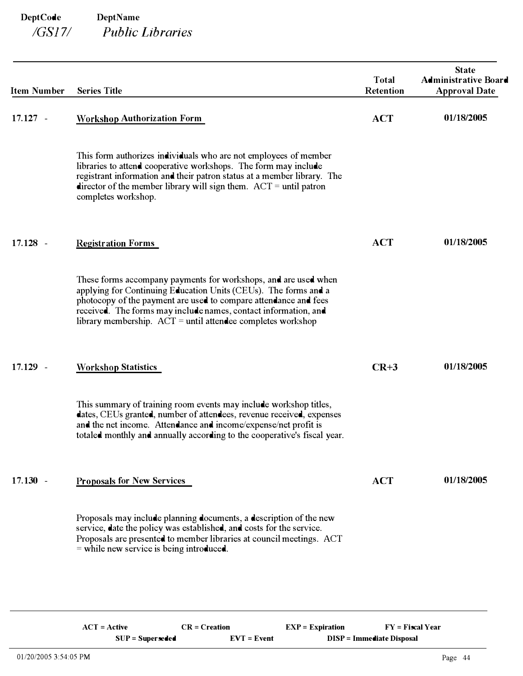| <b>Item Number</b>                 | <b>Series Title</b>                                                                                                                                                                                                                                                                                                                        | <b>Total</b><br><b>Retention</b> | <b>State</b><br><b>Administrative Board</b><br><b>Approval Date</b> |
|------------------------------------|--------------------------------------------------------------------------------------------------------------------------------------------------------------------------------------------------------------------------------------------------------------------------------------------------------------------------------------------|----------------------------------|---------------------------------------------------------------------|
| $17.127 -$                         | <b>Workshop Authorization Form</b>                                                                                                                                                                                                                                                                                                         | <b>ACT</b>                       | 01/18/2005                                                          |
|                                    | This form authorizes individuals who are not employees of member<br>libraries to attend cooperative workshops. The form may include<br>registrant information and their patron status at a member library. The<br>director of the member library will sign them. $ACT = until$ patron<br>completes workshop.                               |                                  |                                                                     |
| $17.128 -$                         | <b>Registration Forms</b>                                                                                                                                                                                                                                                                                                                  | <b>ACT</b>                       | 01/18/2005                                                          |
|                                    | These forms accompany payments for workshops, and are used when<br>applying for Continuing Education Units (CEUs). The forms and a<br>photocopy of the payment are used to compare attendance and fees<br>received. The forms may include names, contact information, and<br>library membership. $ACT =$ until attendee completes workshop |                                  |                                                                     |
| 17.129<br>$\overline{\phantom{a}}$ | <b>Workshop Statistics</b>                                                                                                                                                                                                                                                                                                                 | $CR+3$                           | 01/18/2005                                                          |
|                                    | This summary of training room events may include workshop titles,<br>dates, CEUs granted, number of attendees, revenue received, expenses<br>and the net income. Attendance and income/expense/net profit is<br>totaled monthly and annually according to the cooperative's fiscal year.                                                   |                                  |                                                                     |
| $17.130 -$                         | <b>Proposals for New Services</b>                                                                                                                                                                                                                                                                                                          | <b>ACT</b>                       | 01/18/2005                                                          |
|                                    | Proposals may include planning documents, a description of the new<br>service, date the policy was established, and costs for the service.<br>Proposals are presented to member libraries at council meetings. ACT<br>$=$ while new service is being introduced.                                                                           |                                  |                                                                     |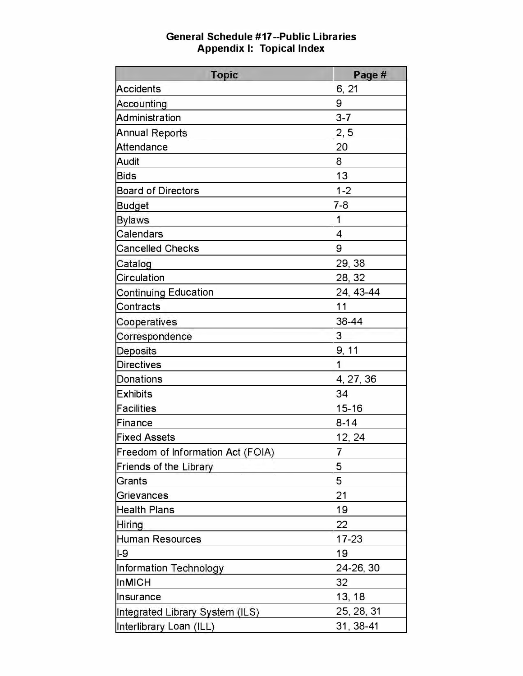| <b>Topic</b>                      | Page #                   |
|-----------------------------------|--------------------------|
| <b>Accidents</b>                  | 6, 21                    |
| Accounting                        | 9                        |
| Administration                    | $3 - 7$                  |
| <b>Annual Reports</b>             | 2, 5                     |
| Attendance                        | 20                       |
| Audit                             | 8                        |
| <b>Bids</b>                       | 13                       |
| <b>Board of Directors</b>         | $1 - 2$                  |
| <b>Budget</b>                     | 7-8                      |
| <b>Bylaws</b>                     | 1                        |
| <b>Calendars</b>                  | $\overline{\mathcal{L}}$ |
| <b>Cancelled Checks</b>           | 9                        |
| Catalog                           | 29, 38                   |
| <b>Circulation</b>                | 28, 32                   |
| <b>Continuing Education</b>       | 24, 43-44                |
| Contracts                         | 11                       |
| Cooperatives                      | 38-44                    |
| Correspondence                    | 3                        |
| Deposits                          | 9, 11                    |
| <b>Directives</b>                 | 1                        |
| <b>Donations</b>                  | 4, 27, 36                |
| <b>Exhibits</b>                   | 34                       |
| <b>Facilities</b>                 | 15-16                    |
| Finance                           | $8 - 14$                 |
| <b>Fixed Assets</b>               | 12, 24                   |
| Freedom of Information Act (FOIA) | ı                        |
| Friends of the Library            | 5                        |
| Grants                            | 5                        |
| Grievances                        | 21                       |
| <b>Health Plans</b>               | 19                       |
| Hiring                            | 22                       |
| <b>Human Resources</b>            | $17 - 23$                |
| $I-9$                             | 19                       |
| Information Technology            | 24-26, 30                |
| <b>InMICH</b>                     | 32                       |
| Insurance                         | 13, 18                   |
| Integrated Library System (ILS)   | 25, 28, 31               |
| Interlibrary Loan (ILL)           | 31, 38-41                |

# General Schedule #17 --Public Libraries Appendix 1: Topical Index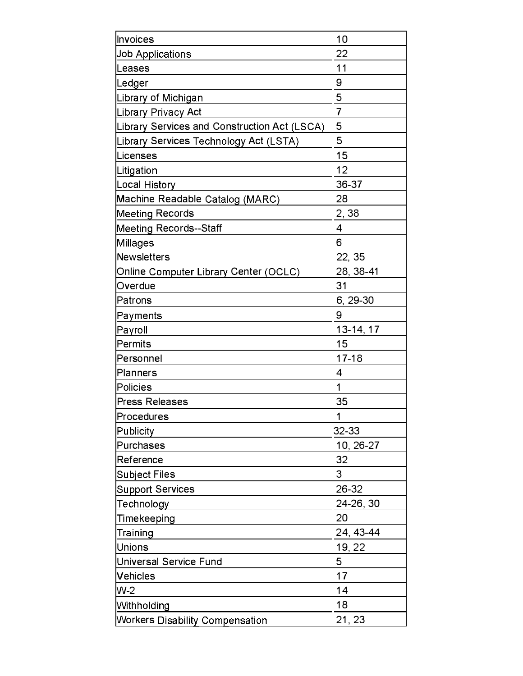| Invoices                                     | 10                       |
|----------------------------------------------|--------------------------|
| <b>Job Applications</b>                      | 22                       |
| Leases                                       | 11                       |
| Ledger                                       | 9                        |
| Library of Michigan                          | 5                        |
| Library Privacy Act                          | $\overline{7}$           |
| Library Services and Construction Act (LSCA) | 5                        |
| Library Services Technology Act (LSTA)       | 5                        |
| Licenses                                     | 15                       |
| Litigation                                   | 12                       |
| Local History                                | 36-37                    |
| Machine Readable Catalog (MARC)              | 28                       |
| <b>Meeting Records</b>                       | 2,38                     |
| Meeting Records--Staff                       | $\overline{\mathcal{A}}$ |
| Millages                                     | 6                        |
| <b>Newsletters</b>                           | 22, 35                   |
| Online Computer Library Center (OCLC)        | 28, 38-41                |
| Overdue                                      | 31                       |
| Patrons                                      | 6, 29-30                 |
| Payments                                     | 9                        |
| Payroll                                      | 13-14, 17                |
| <b>Permits</b>                               | 15                       |
| Personnel                                    | $17 - 18$                |
| Planners                                     | 4                        |
| Policies                                     | 1                        |
| <b>Press Releases</b>                        | 35                       |
| Procedures                                   | 1                        |
| Publicity                                    | 32-33                    |
| <b>Purchases</b>                             | 10, 26-27                |
| Reference                                    | 32                       |
| Subject Files                                | 3                        |
| <b>Support Services</b>                      | 26-32                    |
| Technology                                   | 24-26, 30                |
| Timekeeping                                  | 20                       |
| Training                                     | 24, 43-44                |
| <b>Unions</b>                                | 19, 22                   |
| Universal Service Fund                       | 5                        |
| <b>Vehicles</b>                              | 17                       |
| $W-2$                                        | 14                       |
| Withholding                                  | 18                       |
| <b>Workers Disability Compensation</b>       | 21, 23                   |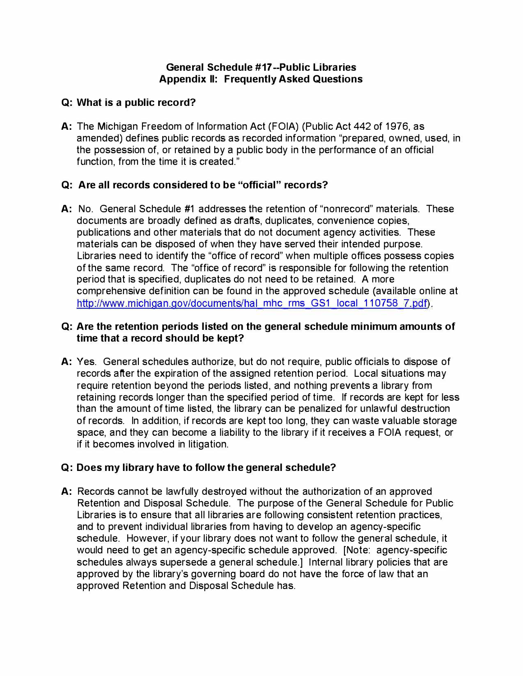#### General Schedule #17 --Public Libraries Appendix II: Frequently Asked Questions

### Q: What is a public record?

A: The Michigan Freedom of Information Act (FOIA) (Public Act 442 of 1976, as amended) defines public records as recorded information "prepared, owned, used, in the possession of, or retained by a public body in the performance of an official function, from the time it is created."

# Q: Are all records considered to be "official" records?

A: No. General Schedule #1 addresses the retention of "nonrecord" materials. These documents are broadly defined as drafts, duplicates, convenience copies, publications and other materials that do not document agency activities. These materials can be disposed of when they have served their intended purpose. Libraries need to identify the "office of record" when multiple offices possess copies of the same record. The "office of record" is responsible for following the retention period that is specified, duplicates do not need to be retained. A more comprehensive definition can be found in the approved schedule (available online at http://www.michigan.gov/documents/hal mhc rms GS1 local 110758 7.pdf).

### Q: Are the retention periods listed on the general schedule minimum amounts of time that a record should be kept?

A: Yes. General schedules authorize, but do not require, public officials to dispose of records after the expiration of the assigned retention period. Local situations may require retention beyond the periods listed, and nothing prevents a library from retaining records longer than the specified period of time. If records are kept for less than the amount of time listed, the library can be penalized for unlawful destruction of records. In addition, if records are kept too long, they can waste valuable storage space, and they can become a liability to the library if it receives a FOIA request, or if it becomes involved in litigation.

# Q: Does my library have to follow the general schedule?

A: Records cannot be lawfully destroyed without the authorization of an approved Retention and Disposal Schedule. The purpose of the General Schedule for Public Libraries is to ensure that all libraries are following consistent retention practices, and to prevent individual libraries from having to develop an agency-specific schedule. However, if your library does not want to follow the general schedule, it would need to get an agency-specific schedule approved. [Note: agency-specific schedules always supersede a general schedule.] Internal library policies that are approved by the library's governing board do not have the force of law that an approved Retention and Disposal Schedule has.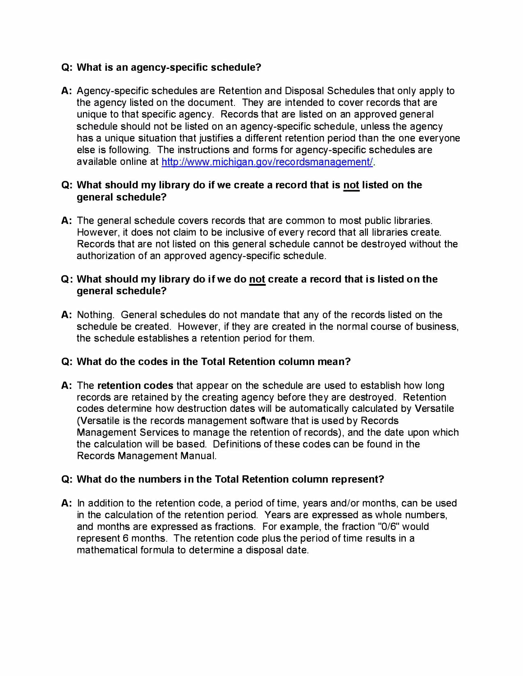### Q: What is an agency-specific schedule?

A: Agency-specific schedules are Retention and Disposal Schedules that only apply to the agency listed on the document. They are intended to cover records that are unique to that specific agency. Records that are listed on an approved general schedule should not be listed on an agency-specific schedule, unless the agency has a unique situation that justifies a different retention period than the one everyone else is following. The instructions and forms for agency-specific schedules are available online at http://www.michigan.gov/recordsmanagement/.

#### Q: What should my library do if we create a record that is not listed on the general schedule?

A: The general schedule covers records that are common to most public libraries. However, it does not claim to be inclusive of every record that all libraries create. Records that are not listed on this general schedule cannot be destroyed without the authorization of an approved agency-specific schedule.

#### Q: What should my library do if we do not create a record that is listed on the general schedule?

A: Nothing. General schedules do not mandate that any of the records listed on the schedule be created. However, if they are created in the normal course of business, the schedule establishes a retention period for them.

### Q: What do the codes in the Total Retention column mean?

A: The retention codes that appear on the schedule are used to establish how long records are retained by the creating agency before they are destroyed. Retention codes determine how destruction dates will be automatically calculated by Versatile (Versatile is the records management software that is used by Records Management Services to manage the retention of records), and the date upon which the calculation will be based. Definitions of these codes can be found in the Records Management Manual.

#### Q: What do the numbers in the Total Retention column represent?

A: In addition to the retention code, a period of time, years and/or months, can be used in the calculation of the retention period. Years are expressed as whole numbers, and months are expressed as fractions. For example, the fraction "0/6" would represent 6 months. The retention code plus the period of time results in a mathematical formula to determine a disposal date.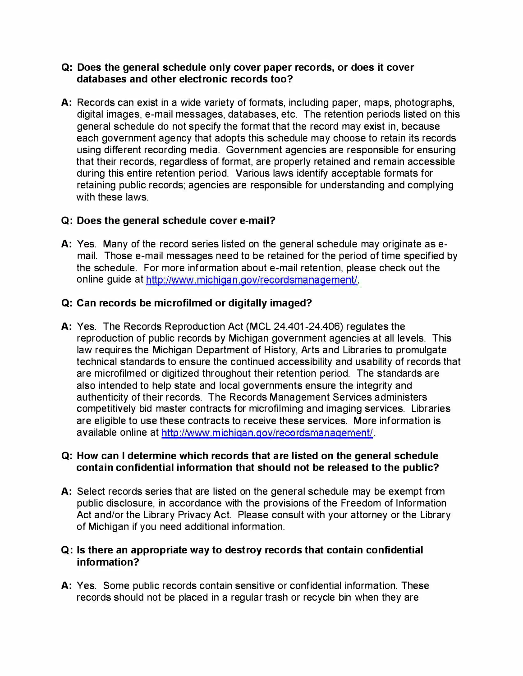#### Q: Does the general schedule only cover paper records, or does it cover databases and other electronic records too?

A: Records can exist in a wide variety of formats, including paper, maps, photographs, digital images, e-mail messages, databases, etc. The retention periods listed on this general schedule do not specify the format that the record may exist in, because each government agency that adopts this schedule may choose to retain its records using different recording media. Government agencies are responsible for ensuring that their records, regardless of format, are properly retained and remain accessible during this entire retention period. Various laws identify acceptable formats for retaining public records; agencies are responsible for understanding and complying with these laws.

### Q: Does the general schedule cover e-mail?

A: Yes. Many of the record series listed on the general schedule may originate as email. Those e-mail messages need to be retained for the period of time specified by the schedule. For more information about e-mail retention, please check out the online guide at http://www.michigan.gov/recordsmanagement/.

### Q: Can records be microfilmed or digitally imaged?

A: Yes. The Records Reproduction Act (MCL 24.401 -24.406) regulates the reproduction of public records by Michigan government agencies at all levels. This law requires the Michigan Department of History, Arts and Libraries to promulgate technical standards to ensure the continued accessibility and usability of records that are microfilmed or digitized throughout their retention period. The standards are also intended to help state and local governments ensure the integrity and authenticity of their records. The Records Management Services administers competitively bid master contracts for microfilming and imaging services. Libraries are eligible to use these contracts to receive these services. More information is available online at http://www.michigan.gov/recordsmanagement/.

#### Q: How can I determine which records that are listed on the general schedule contain confidential information that should not be released to the public?

A: Select records series that are listed on the general schedule may be exempt from public disclosure, in accordance with the provisions of the Freedom of Information Act and/or the Library Privacy Act. Please consult with your attorney or the Library of Michigan if you need additional information.

#### Q: Is there an appropriate way to destroy records that contain confidential information?

A: Yes. Some public records contain sensitive or confidential information. These records should not be placed in a regular trash or recycle bin when they are